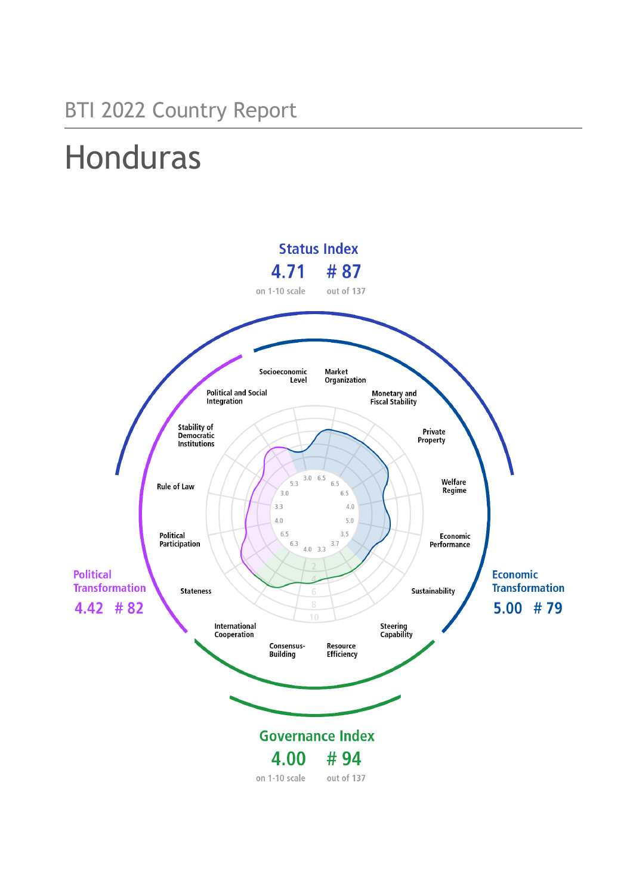## BTI 2022 Country Report

# Honduras

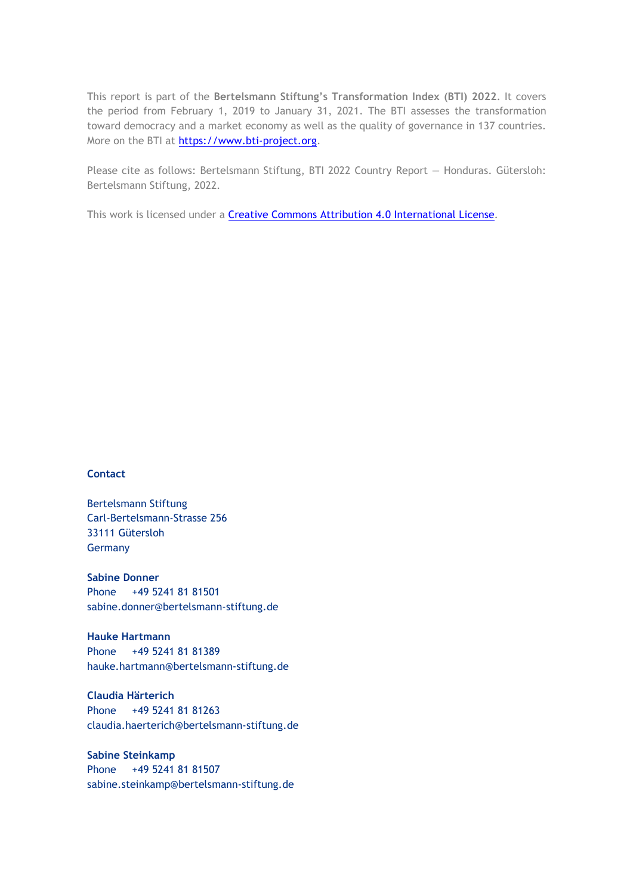This report is part of the **Bertelsmann Stiftung's Transformation Index (BTI) 2022**. It covers the period from February 1, 2019 to January 31, 2021. The BTI assesses the transformation toward democracy and a market economy as well as the quality of governance in 137 countries. More on the BTI at [https://www.bti-project.org.](https://www.bti-project.org/)

Please cite as follows: Bertelsmann Stiftung, BTI 2022 Country Report — Honduras. Gütersloh: Bertelsmann Stiftung, 2022.

This work is licensed under a **Creative Commons Attribution 4.0 International License**.

#### **Contact**

Bertelsmann Stiftung Carl-Bertelsmann-Strasse 256 33111 Gütersloh Germany

**Sabine Donner** Phone +49 5241 81 81501 sabine.donner@bertelsmann-stiftung.de

**Hauke Hartmann** Phone +49 5241 81 81389 hauke.hartmann@bertelsmann-stiftung.de

**Claudia Härterich** Phone +49 5241 81 81263 claudia.haerterich@bertelsmann-stiftung.de

#### **Sabine Steinkamp** Phone +49 5241 81 81507 sabine.steinkamp@bertelsmann-stiftung.de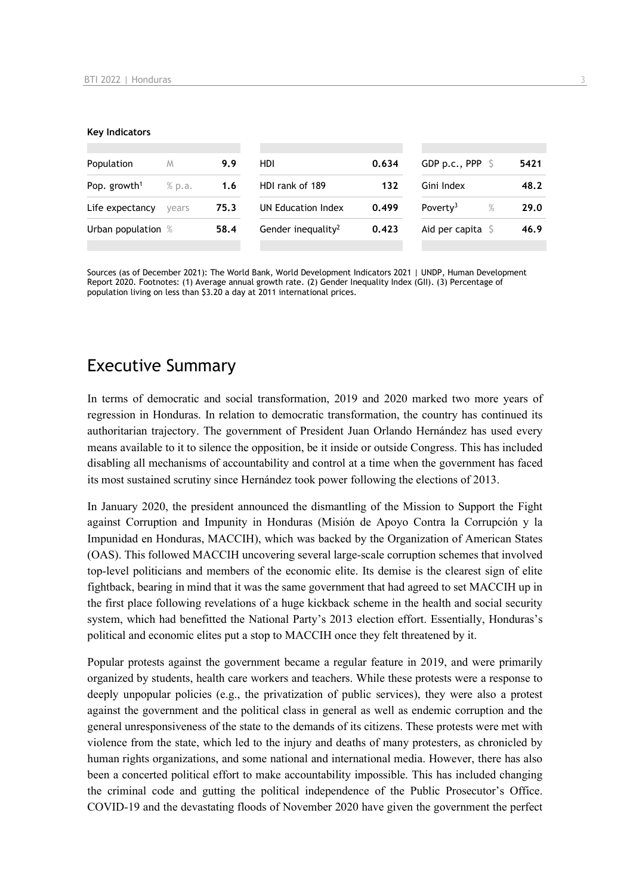#### **Key Indicators**

| Population               | M      | 9.9  | HDI                            | 0.634 | GDP p.c., PPP $\ S$          | 5421 |
|--------------------------|--------|------|--------------------------------|-------|------------------------------|------|
| Pop. growth <sup>1</sup> | % p.a. | 1.6  | HDI rank of 189                | 132   | Gini Index                   | 48.2 |
| Life expectancy          | vears  | 75.3 | UN Education Index             | 0.499 | $\%$<br>Poverty <sup>3</sup> | 29.0 |
| Urban population %       |        | 58.4 | Gender inequality <sup>2</sup> | 0.423 | Aid per capita               | 46.9 |
|                          |        |      |                                |       |                              |      |

Sources (as of December 2021): The World Bank, World Development Indicators 2021 | UNDP, Human Development Report 2020. Footnotes: (1) Average annual growth rate. (2) Gender Inequality Index (GII). (3) Percentage of population living on less than \$3.20 a day at 2011 international prices.

## Executive Summary

In terms of democratic and social transformation, 2019 and 2020 marked two more years of regression in Honduras. In relation to democratic transformation, the country has continued its authoritarian trajectory. The government of President Juan Orlando Hernández has used every means available to it to silence the opposition, be it inside or outside Congress. This has included disabling all mechanisms of accountability and control at a time when the government has faced its most sustained scrutiny since Hernández took power following the elections of 2013.

In January 2020, the president announced the dismantling of the Mission to Support the Fight against Corruption and Impunity in Honduras (Misión de Apoyo Contra la Corrupción y la Impunidad en Honduras, MACCIH), which was backed by the Organization of American States (OAS). This followed MACCIH uncovering several large-scale corruption schemes that involved top-level politicians and members of the economic elite. Its demise is the clearest sign of elite fightback, bearing in mind that it was the same government that had agreed to set MACCIH up in the first place following revelations of a huge kickback scheme in the health and social security system, which had benefitted the National Party's 2013 election effort. Essentially, Honduras's political and economic elites put a stop to MACCIH once they felt threatened by it.

Popular protests against the government became a regular feature in 2019, and were primarily organized by students, health care workers and teachers. While these protests were a response to deeply unpopular policies (e.g., the privatization of public services), they were also a protest against the government and the political class in general as well as endemic corruption and the general unresponsiveness of the state to the demands of its citizens. These protests were met with violence from the state, which led to the injury and deaths of many protesters, as chronicled by human rights organizations, and some national and international media. However, there has also been a concerted political effort to make accountability impossible. This has included changing the criminal code and gutting the political independence of the Public Prosecutor's Office. COVID-19 and the devastating floods of November 2020 have given the government the perfect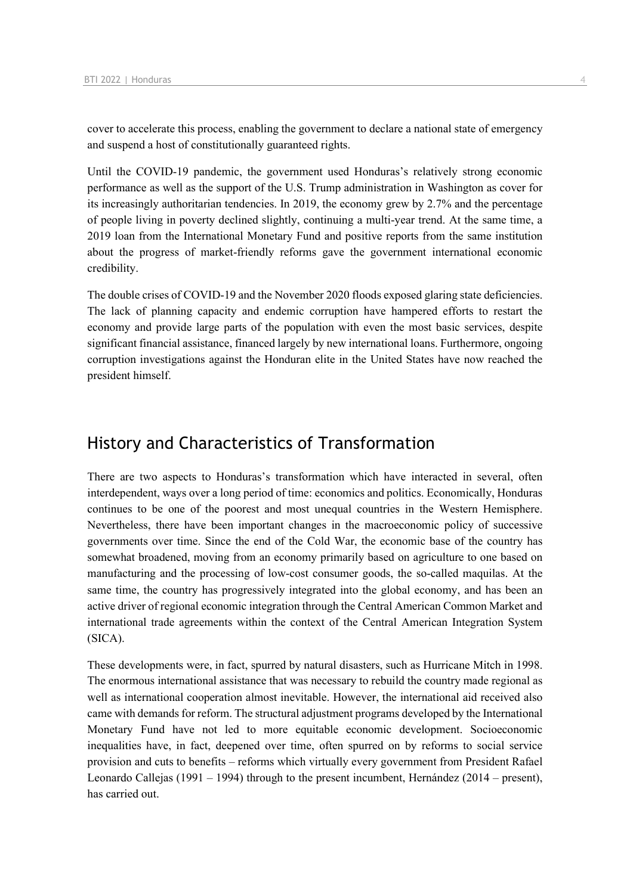cover to accelerate this process, enabling the government to declare a national state of emergency and suspend a host of constitutionally guaranteed rights.

Until the COVID-19 pandemic, the government used Honduras's relatively strong economic performance as well as the support of the U.S. Trump administration in Washington as cover for its increasingly authoritarian tendencies. In 2019, the economy grew by 2.7% and the percentage of people living in poverty declined slightly, continuing a multi-year trend. At the same time, a 2019 loan from the International Monetary Fund and positive reports from the same institution about the progress of market-friendly reforms gave the government international economic credibility.

The double crises of COVID-19 and the November 2020 floods exposed glaring state deficiencies. The lack of planning capacity and endemic corruption have hampered efforts to restart the economy and provide large parts of the population with even the most basic services, despite significant financial assistance, financed largely by new international loans. Furthermore, ongoing corruption investigations against the Honduran elite in the United States have now reached the president himself.

## History and Characteristics of Transformation

There are two aspects to Honduras's transformation which have interacted in several, often interdependent, ways over a long period of time: economics and politics. Economically, Honduras continues to be one of the poorest and most unequal countries in the Western Hemisphere. Nevertheless, there have been important changes in the macroeconomic policy of successive governments over time. Since the end of the Cold War, the economic base of the country has somewhat broadened, moving from an economy primarily based on agriculture to one based on manufacturing and the processing of low-cost consumer goods, the so-called maquilas. At the same time, the country has progressively integrated into the global economy, and has been an active driver of regional economic integration through the Central American Common Market and international trade agreements within the context of the Central American Integration System (SICA).

These developments were, in fact, spurred by natural disasters, such as Hurricane Mitch in 1998. The enormous international assistance that was necessary to rebuild the country made regional as well as international cooperation almost inevitable. However, the international aid received also came with demands for reform. The structural adjustment programs developed by the International Monetary Fund have not led to more equitable economic development. Socioeconomic inequalities have, in fact, deepened over time, often spurred on by reforms to social service provision and cuts to benefits – reforms which virtually every government from President Rafael Leonardo Callejas (1991 – 1994) through to the present incumbent, Hernández (2014 – present), has carried out.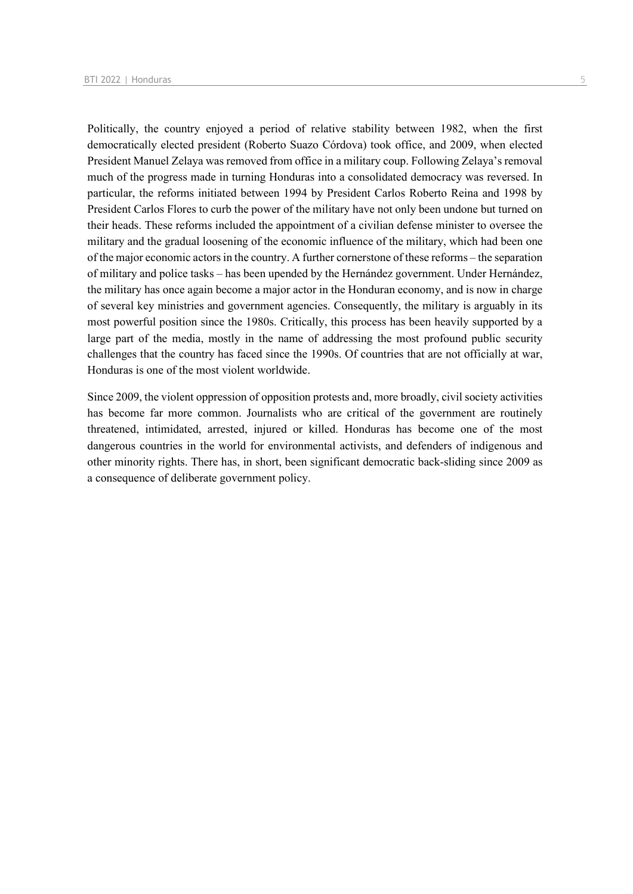Politically, the country enjoyed a period of relative stability between 1982, when the first democratically elected president (Roberto Suazo Córdova) took office, and 2009, when elected President Manuel Zelaya was removed from office in a military coup. Following Zelaya's removal much of the progress made in turning Honduras into a consolidated democracy was reversed. In particular, the reforms initiated between 1994 by President Carlos Roberto Reina and 1998 by President Carlos Flores to curb the power of the military have not only been undone but turned on their heads. These reforms included the appointment of a civilian defense minister to oversee the military and the gradual loosening of the economic influence of the military, which had been one of the major economic actors in the country. A further cornerstone of these reforms – the separation of military and police tasks – has been upended by the Hernández government. Under Hernández, the military has once again become a major actor in the Honduran economy, and is now in charge of several key ministries and government agencies. Consequently, the military is arguably in its most powerful position since the 1980s. Critically, this process has been heavily supported by a large part of the media, mostly in the name of addressing the most profound public security challenges that the country has faced since the 1990s. Of countries that are not officially at war, Honduras is one of the most violent worldwide.

Since 2009, the violent oppression of opposition protests and, more broadly, civil society activities has become far more common. Journalists who are critical of the government are routinely threatened, intimidated, arrested, injured or killed. Honduras has become one of the most dangerous countries in the world for environmental activists, and defenders of indigenous and other minority rights. There has, in short, been significant democratic back-sliding since 2009 as a consequence of deliberate government policy.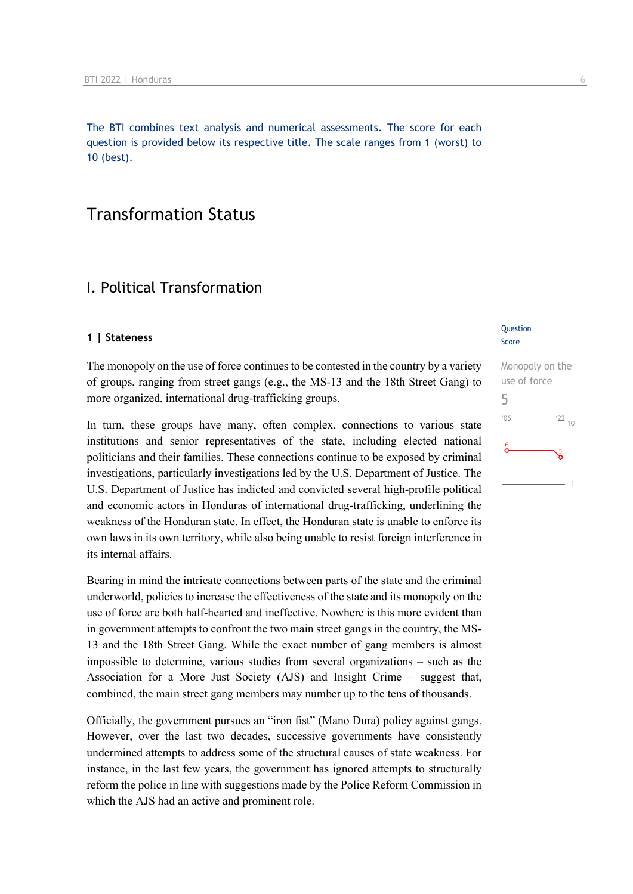The BTI combines text analysis and numerical assessments. The score for each question is provided below its respective title. The scale ranges from 1 (worst) to 10 (best).

## Transformation Status

## I. Political Transformation

#### **1 | Stateness**

The monopoly on the use of force continues to be contested in the country by a variety of groups, ranging from street gangs (e.g., the MS-13 and the 18th Street Gang) to more organized, international drug-trafficking groups.

In turn, these groups have many, often complex, connections to various state institutions and senior representatives of the state, including elected national politicians and their families. These connections continue to be exposed by criminal investigations, particularly investigations led by the U.S. Department of Justice. The U.S. Department of Justice has indicted and convicted several high-profile political and economic actors in Honduras of international drug-trafficking, underlining the weakness of the Honduran state. In effect, the Honduran state is unable to enforce its own laws in its own territory, while also being unable to resist foreign interference in its internal affairs.

Bearing in mind the intricate connections between parts of the state and the criminal underworld, policies to increase the effectiveness of the state and its monopoly on the use of force are both half-hearted and ineffective. Nowhere is this more evident than in government attempts to confront the two main street gangs in the country, the MS-13 and the 18th Street Gang. While the exact number of gang members is almost impossible to determine, various studies from several organizations – such as the Association for a More Just Society (AJS) and Insight Crime – suggest that, combined, the main street gang members may number up to the tens of thousands.

Officially, the government pursues an "iron fist" (Mano Dura) policy against gangs. However, over the last two decades, successive governments have consistently undermined attempts to address some of the structural causes of state weakness. For instance, in the last few years, the government has ignored attempts to structurally reform the police in line with suggestions made by the Police Reform Commission in which the AJS had an active and prominent role.

#### **Question** Score

| Monopoly on the                  |
|----------------------------------|
| use of force                     |
| 5                                |
| $^{\prime}06$<br>$\frac{22}{10}$ |
| 6<br>៹                           |
|                                  |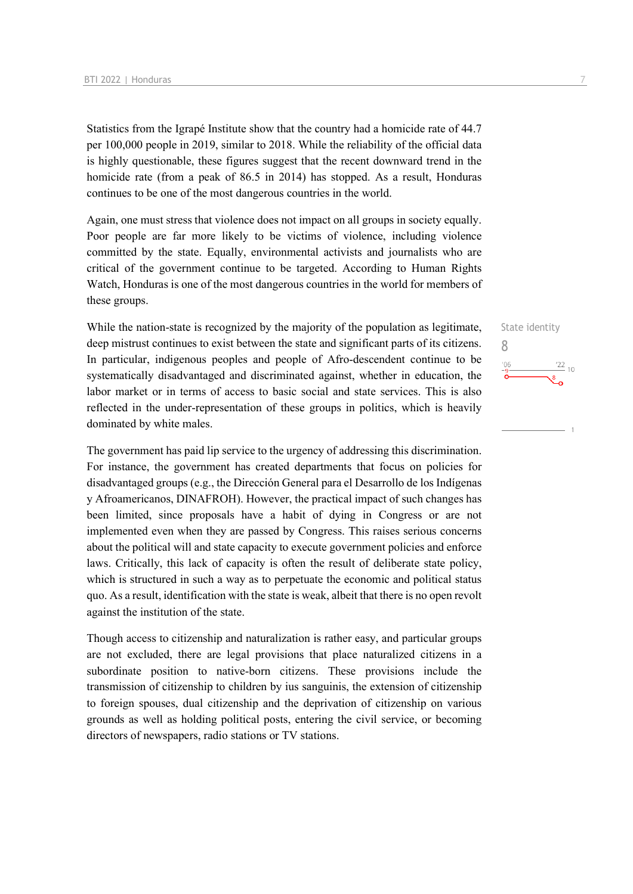Statistics from the Igrapé Institute show that the country had a homicide rate of 44.7 per 100,000 people in 2019, similar to 2018. While the reliability of the official data is highly questionable, these figures suggest that the recent downward trend in the homicide rate (from a peak of 86.5 in 2014) has stopped. As a result, Honduras continues to be one of the most dangerous countries in the world.

Again, one must stress that violence does not impact on all groups in society equally. Poor people are far more likely to be victims of violence, including violence committed by the state. Equally, environmental activists and journalists who are critical of the government continue to be targeted. According to Human Rights Watch, Honduras is one of the most dangerous countries in the world for members of these groups.

While the nation-state is recognized by the majority of the population as legitimate, deep mistrust continues to exist between the state and significant parts of its citizens. In particular, indigenous peoples and people of Afro-descendent continue to be systematically disadvantaged and discriminated against, whether in education, the labor market or in terms of access to basic social and state services. This is also reflected in the under-representation of these groups in politics, which is heavily dominated by white males.

The government has paid lip service to the urgency of addressing this discrimination. For instance, the government has created departments that focus on policies for disadvantaged groups (e.g., the Dirección General para el Desarrollo de los Indígenas y Afroamericanos, DINAFROH). However, the practical impact of such changes has been limited, since proposals have a habit of dying in Congress or are not implemented even when they are passed by Congress. This raises serious concerns about the political will and state capacity to execute government policies and enforce laws. Critically, this lack of capacity is often the result of deliberate state policy, which is structured in such a way as to perpetuate the economic and political status quo. As a result, identification with the state is weak, albeit that there is no open revolt against the institution of the state.

Though access to citizenship and naturalization is rather easy, and particular groups are not excluded, there are legal provisions that place naturalized citizens in a subordinate position to native-born citizens. These provisions include the transmission of citizenship to children by ius sanguinis, the extension of citizenship to foreign spouses, dual citizenship and the deprivation of citizenship on various grounds as well as holding political posts, entering the civil service, or becoming directors of newspapers, radio stations or TV stations.

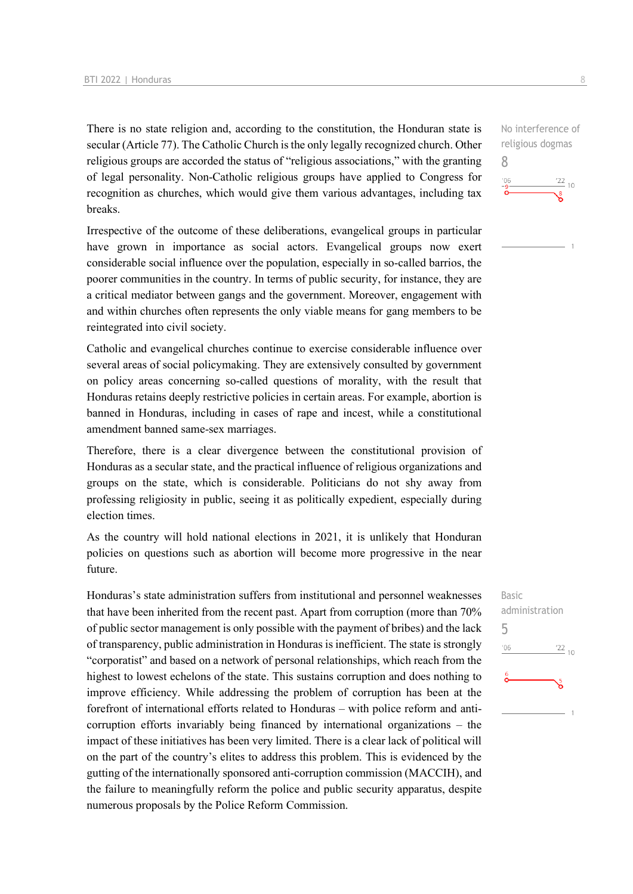There is no state religion and, according to the constitution, the Honduran state is secular (Article 77). The Catholic Church is the only legally recognized church. Other religious groups are accorded the status of "religious associations," with the granting of legal personality. Non-Catholic religious groups have applied to Congress for recognition as churches, which would give them various advantages, including tax breaks.

Irrespective of the outcome of these deliberations, evangelical groups in particular have grown in importance as social actors. Evangelical groups now exert considerable social influence over the population, especially in so-called barrios, the poorer communities in the country. In terms of public security, for instance, they are a critical mediator between gangs and the government. Moreover, engagement with and within churches often represents the only viable means for gang members to be reintegrated into civil society.

Catholic and evangelical churches continue to exercise considerable influence over several areas of social policymaking. They are extensively consulted by government on policy areas concerning so-called questions of morality, with the result that Honduras retains deeply restrictive policies in certain areas. For example, abortion is banned in Honduras, including in cases of rape and incest, while a constitutional amendment banned same-sex marriages.

Therefore, there is a clear divergence between the constitutional provision of Honduras as a secular state, and the practical influence of religious organizations and groups on the state, which is considerable. Politicians do not shy away from professing religiosity in public, seeing it as politically expedient, especially during election times.

As the country will hold national elections in 2021, it is unlikely that Honduran policies on questions such as abortion will become more progressive in the near future.

Honduras's state administration suffers from institutional and personnel weaknesses that have been inherited from the recent past. Apart from corruption (more than 70% of public sector management is only possible with the payment of bribes) and the lack of transparency, public administration in Honduras is inefficient. The state is strongly "corporatist" and based on a network of personal relationships, which reach from the highest to lowest echelons of the state. This sustains corruption and does nothing to improve efficiency. While addressing the problem of corruption has been at the forefront of international efforts related to Honduras – with police reform and anticorruption efforts invariably being financed by international organizations – the impact of these initiatives has been very limited. There is a clear lack of political will on the part of the country's elites to address this problem. This is evidenced by the gutting of the internationally sponsored anti-corruption commission (MACCIH), and the failure to meaningfully reform the police and public security apparatus, despite numerous proposals by the Police Reform Commission.

No interference of religious dogmas 8  $\frac{22}{10}$ 

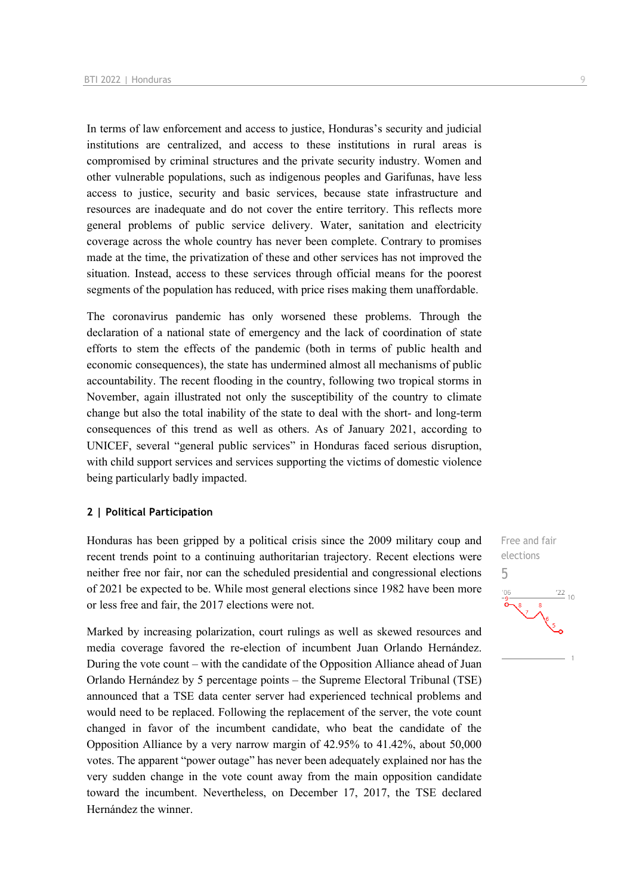In terms of law enforcement and access to justice, Honduras's security and judicial institutions are centralized, and access to these institutions in rural areas is compromised by criminal structures and the private security industry. Women and other vulnerable populations, such as indigenous peoples and Garifunas, have less access to justice, security and basic services, because state infrastructure and resources are inadequate and do not cover the entire territory. This reflects more general problems of public service delivery. Water, sanitation and electricity coverage across the whole country has never been complete. Contrary to promises made at the time, the privatization of these and other services has not improved the situation. Instead, access to these services through official means for the poorest segments of the population has reduced, with price rises making them unaffordable.

The coronavirus pandemic has only worsened these problems. Through the declaration of a national state of emergency and the lack of coordination of state efforts to stem the effects of the pandemic (both in terms of public health and economic consequences), the state has undermined almost all mechanisms of public accountability. The recent flooding in the country, following two tropical storms in November, again illustrated not only the susceptibility of the country to climate change but also the total inability of the state to deal with the short- and long-term consequences of this trend as well as others. As of January 2021, according to UNICEF, several "general public services" in Honduras faced serious disruption, with child support services and services supporting the victims of domestic violence being particularly badly impacted.

#### **2 | Political Participation**

Honduras has been gripped by a political crisis since the 2009 military coup and recent trends point to a continuing authoritarian trajectory. Recent elections were neither free nor fair, nor can the scheduled presidential and congressional elections of 2021 be expected to be. While most general elections since 1982 have been more or less free and fair, the 2017 elections were not.

Marked by increasing polarization, court rulings as well as skewed resources and media coverage favored the re-election of incumbent Juan Orlando Hernández. During the vote count – with the candidate of the Opposition Alliance ahead of Juan Orlando Hernández by 5 percentage points – the Supreme Electoral Tribunal (TSE) announced that a TSE data center server had experienced technical problems and would need to be replaced. Following the replacement of the server, the vote count changed in favor of the incumbent candidate, who beat the candidate of the Opposition Alliance by a very narrow margin of 42.95% to 41.42%, about 50,000 votes. The apparent "power outage" has never been adequately explained nor has the very sudden change in the vote count away from the main opposition candidate toward the incumbent. Nevertheless, on December 17, 2017, the TSE declared Hernández the winner.

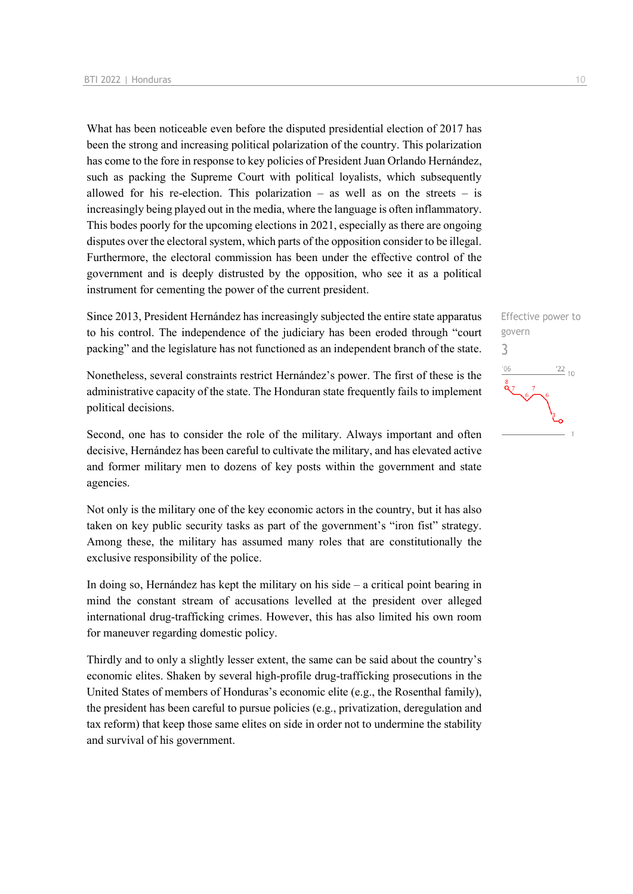What has been noticeable even before the disputed presidential election of 2017 has been the strong and increasing political polarization of the country. This polarization has come to the fore in response to key policies of President Juan Orlando Hernández, such as packing the Supreme Court with political loyalists, which subsequently allowed for his re-election. This polarization – as well as on the streets – is increasingly being played out in the media, where the language is often inflammatory. This bodes poorly for the upcoming elections in 2021, especially as there are ongoing disputes over the electoral system, which parts of the opposition consider to be illegal. Furthermore, the electoral commission has been under the effective control of the government and is deeply distrusted by the opposition, who see it as a political instrument for cementing the power of the current president.

Since 2013, President Hernández has increasingly subjected the entire state apparatus to his control. The independence of the judiciary has been eroded through "court packing" and the legislature has not functioned as an independent branch of the state.

Nonetheless, several constraints restrict Hernández's power. The first of these is the administrative capacity of the state. The Honduran state frequently fails to implement political decisions.

Second, one has to consider the role of the military. Always important and often decisive, Hernández has been careful to cultivate the military, and has elevated active and former military men to dozens of key posts within the government and state agencies.

Not only is the military one of the key economic actors in the country, but it has also taken on key public security tasks as part of the government's "iron fist" strategy. Among these, the military has assumed many roles that are constitutionally the exclusive responsibility of the police.

In doing so, Hernández has kept the military on his side  $-$  a critical point bearing in mind the constant stream of accusations levelled at the president over alleged international drug-trafficking crimes. However, this has also limited his own room for maneuver regarding domestic policy.

Thirdly and to only a slightly lesser extent, the same can be said about the country's economic elites. Shaken by several high-profile drug-trafficking prosecutions in the United States of members of Honduras's economic elite (e.g., the Rosenthal family), the president has been careful to pursue policies (e.g., privatization, deregulation and tax reform) that keep those same elites on side in order not to undermine the stability and survival of his government.

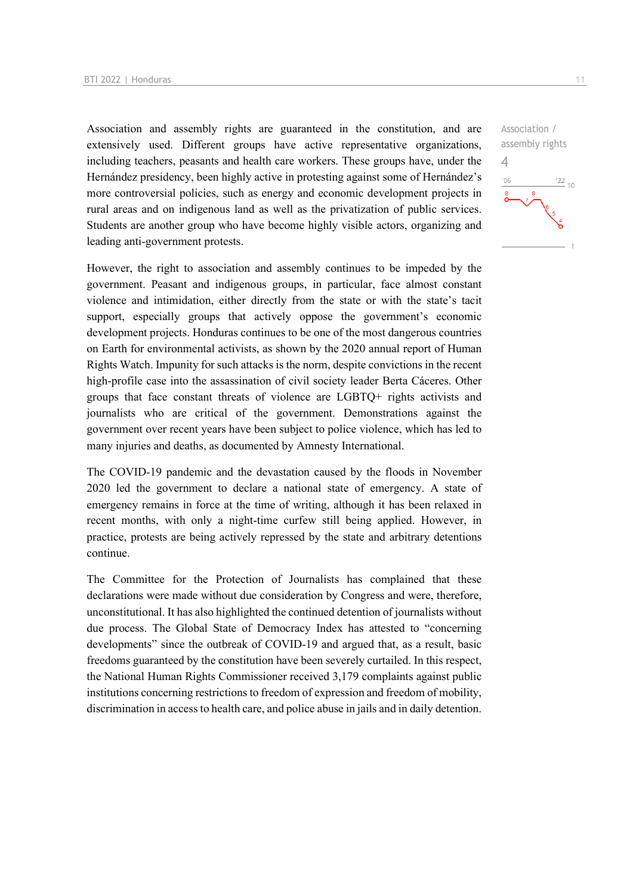Association and assembly rights are guaranteed in the constitution, and are extensively used. Different groups have active representative organizations, including teachers, peasants and health care workers. These groups have, under the Hernández presidency, been highly active in protesting against some of Hernández's more controversial policies, such as energy and economic development projects in rural areas and on indigenous land as well as the privatization of public services. Students are another group who have become highly visible actors, organizing and leading anti-government protests.

However, the right to association and assembly continues to be impeded by the government. Peasant and indigenous groups, in particular, face almost constant violence and intimidation, either directly from the state or with the state's tacit support, especially groups that actively oppose the government's economic development projects. Honduras continues to be one of the most dangerous countries on Earth for environmental activists, as shown by the 2020 annual report of Human Rights Watch. Impunity for such attacks is the norm, despite convictions in the recent high-profile case into the assassination of civil society leader Berta Cáceres. Other groups that face constant threats of violence are LGBTQ+ rights activists and journalists who are critical of the government. Demonstrations against the government over recent years have been subject to police violence, which has led to many injuries and deaths, as documented by Amnesty International.

The COVID-19 pandemic and the devastation caused by the floods in November 2020 led the government to declare a national state of emergency. A state of emergency remains in force at the time of writing, although it has been relaxed in recent months, with only a night-time curfew still being applied. However, in practice, protests are being actively repressed by the state and arbitrary detentions continue.

The Committee for the Protection of Journalists has complained that these declarations were made without due consideration by Congress and were, therefore, unconstitutional. It has also highlighted the continued detention of journalists without due process. The Global State of Democracy Index has attested to "concerning developments" since the outbreak of COVID-19 and argued that, as a result, basic freedoms guaranteed by the constitution have been severely curtailed. In this respect, the National Human Rights Commissioner received 3,179 complaints against public institutions concerning restrictions to freedom of expression and freedom of mobility, discrimination in access to health care, and police abuse in jails and in daily detention.

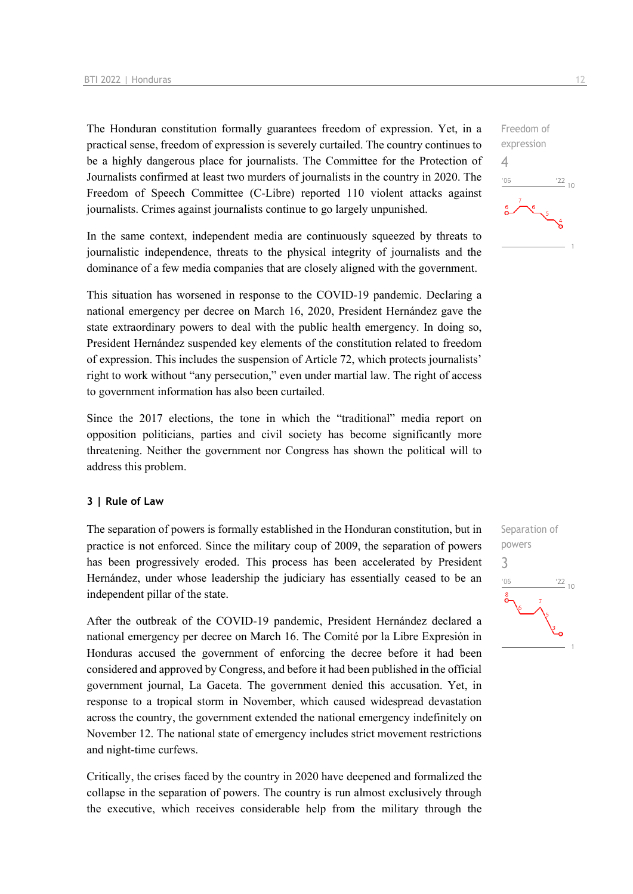The Honduran constitution formally guarantees freedom of expression. Yet, in a practical sense, freedom of expression is severely curtailed. The country continues to be a highly dangerous place for journalists. The Committee for the Protection of Journalists confirmed at least two murders of journalists in the country in 2020. The Freedom of Speech Committee (C-Libre) reported 110 violent attacks against journalists. Crimes against journalists continue to go largely unpunished.

In the same context, independent media are continuously squeezed by threats to journalistic independence, threats to the physical integrity of journalists and the dominance of a few media companies that are closely aligned with the government.

This situation has worsened in response to the COVID-19 pandemic. Declaring a national emergency per decree on March 16, 2020, President Hernández gave the state extraordinary powers to deal with the public health emergency. In doing so, President Hernández suspended key elements of the constitution related to freedom of expression. This includes the suspension of Article 72, which protects journalists' right to work without "any persecution," even under martial law. The right of access to government information has also been curtailed.

Since the 2017 elections, the tone in which the "traditional" media report on opposition politicians, parties and civil society has become significantly more threatening. Neither the government nor Congress has shown the political will to address this problem.

#### **3 | Rule of Law**

The separation of powers is formally established in the Honduran constitution, but in practice is not enforced. Since the military coup of 2009, the separation of powers has been progressively eroded. This process has been accelerated by President Hernández, under whose leadership the judiciary has essentially ceased to be an independent pillar of the state.

After the outbreak of the COVID-19 pandemic, President Hernández declared a national emergency per decree on March 16. The Comité por la Libre Expresión in Honduras accused the government of enforcing the decree before it had been considered and approved by Congress, and before it had been published in the official government journal, La Gaceta. The government denied this accusation. Yet, in response to a tropical storm in November, which caused widespread devastation across the country, the government extended the national emergency indefinitely on November 12. The national state of emergency includes strict movement restrictions and night-time curfews.

Critically, the crises faced by the country in 2020 have deepened and formalized the collapse in the separation of powers. The country is run almost exclusively through the executive, which receives considerable help from the military through the

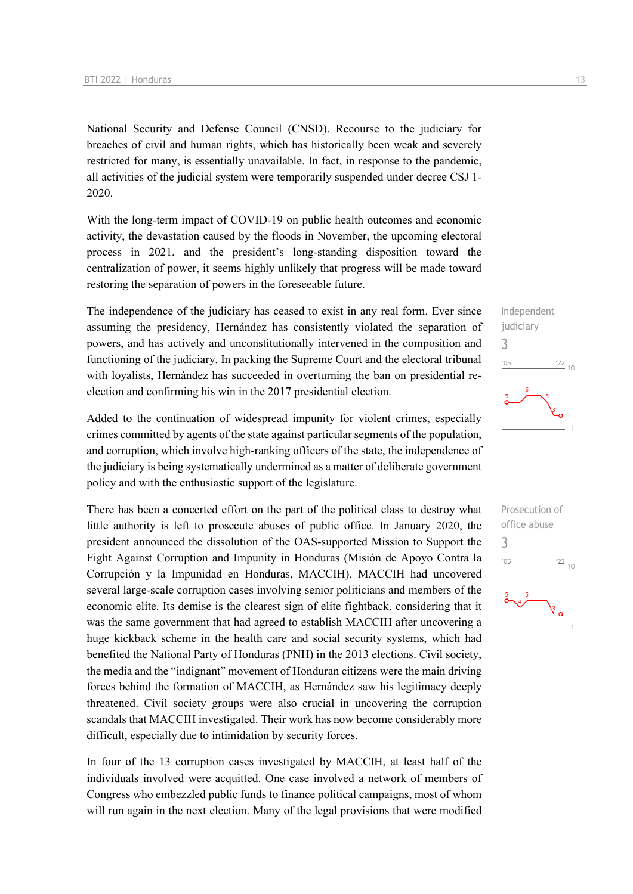National Security and Defense Council (CNSD). Recourse to the judiciary for breaches of civil and human rights, which has historically been weak and severely restricted for many, is essentially unavailable. In fact, in response to the pandemic, all activities of the judicial system were temporarily suspended under decree CSJ 1- 2020.

With the long-term impact of COVID-19 on public health outcomes and economic activity, the devastation caused by the floods in November, the upcoming electoral process in 2021, and the president's long-standing disposition toward the centralization of power, it seems highly unlikely that progress will be made toward restoring the separation of powers in the foreseeable future.

The independence of the judiciary has ceased to exist in any real form. Ever since assuming the presidency, Hernández has consistently violated the separation of powers, and has actively and unconstitutionally intervened in the composition and functioning of the judiciary. In packing the Supreme Court and the electoral tribunal with loyalists, Hernández has succeeded in overturning the ban on presidential reelection and confirming his win in the 2017 presidential election.

Added to the continuation of widespread impunity for violent crimes, especially crimes committed by agents of the state against particular segments of the population, and corruption, which involve high-ranking officers of the state, the independence of the judiciary is being systematically undermined as a matter of deliberate government policy and with the enthusiastic support of the legislature.

There has been a concerted effort on the part of the political class to destroy what little authority is left to prosecute abuses of public office. In January 2020, the president announced the dissolution of the OAS-supported Mission to Support the Fight Against Corruption and Impunity in Honduras (Misión de Apoyo Contra la Corrupción y la Impunidad en Honduras, MACCIH). MACCIH had uncovered several large-scale corruption cases involving senior politicians and members of the economic elite. Its demise is the clearest sign of elite fightback, considering that it was the same government that had agreed to establish MACCIH after uncovering a huge kickback scheme in the health care and social security systems, which had benefited the National Party of Honduras (PNH) in the 2013 elections. Civil society, the media and the "indignant" movement of Honduran citizens were the main driving forces behind the formation of MACCIH, as Hernández saw his legitimacy deeply threatened. Civil society groups were also crucial in uncovering the corruption scandals that MACCIH investigated. Their work has now become considerably more difficult, especially due to intimidation by security forces.

In four of the 13 corruption cases investigated by MACCIH, at least half of the individuals involved were acquitted. One case involved a network of members of Congress who embezzled public funds to finance political campaigns, most of whom will run again in the next election. Many of the legal provisions that were modified

Independent judiciary 3  $^{\prime}06$  $\frac{22}{10}$ 

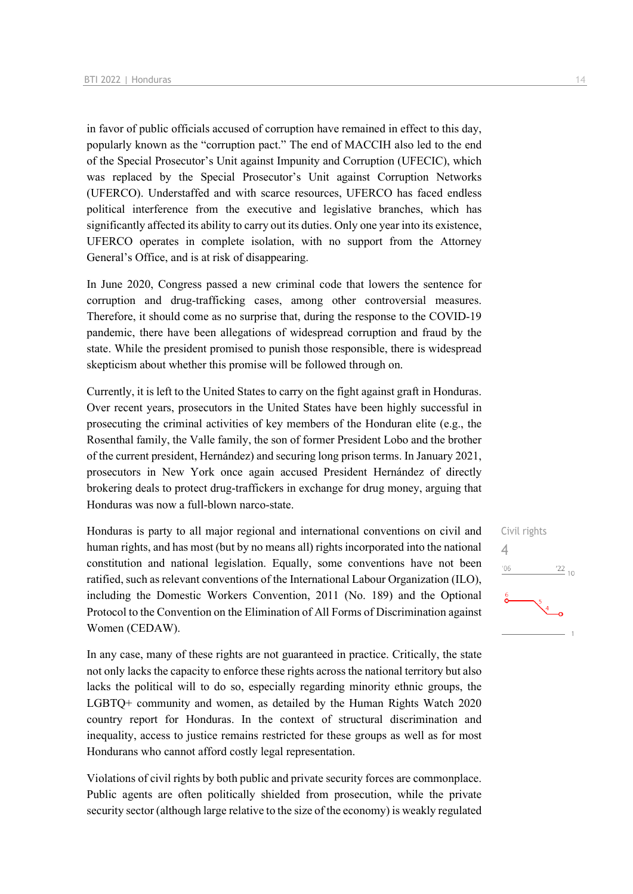in favor of public officials accused of corruption have remained in effect to this day, popularly known as the "corruption pact." The end of MACCIH also led to the end of the Special Prosecutor's Unit against Impunity and Corruption (UFECIC), which was replaced by the Special Prosecutor's Unit against Corruption Networks (UFERCO). Understaffed and with scarce resources, UFERCO has faced endless political interference from the executive and legislative branches, which has significantly affected its ability to carry out its duties. Only one year into its existence, UFERCO operates in complete isolation, with no support from the Attorney General's Office, and is at risk of disappearing.

In June 2020, Congress passed a new criminal code that lowers the sentence for corruption and drug-trafficking cases, among other controversial measures. Therefore, it should come as no surprise that, during the response to the COVID-19 pandemic, there have been allegations of widespread corruption and fraud by the state. While the president promised to punish those responsible, there is widespread skepticism about whether this promise will be followed through on.

Currently, it is left to the United States to carry on the fight against graft in Honduras. Over recent years, prosecutors in the United States have been highly successful in prosecuting the criminal activities of key members of the Honduran elite (e.g., the Rosenthal family, the Valle family, the son of former President Lobo and the brother of the current president, Hernández) and securing long prison terms. In January 2021, prosecutors in New York once again accused President Hernández of directly brokering deals to protect drug-traffickers in exchange for drug money, arguing that Honduras was now a full-blown narco-state.

Honduras is party to all major regional and international conventions on civil and human rights, and has most (but by no means all) rights incorporated into the national constitution and national legislation. Equally, some conventions have not been ratified, such as relevant conventions of the International Labour Organization (ILO), including the Domestic Workers Convention, 2011 (No. 189) and the Optional Protocol to the Convention on the Elimination of All Forms of Discrimination against Women (CEDAW).

In any case, many of these rights are not guaranteed in practice. Critically, the state not only lacks the capacity to enforce these rights across the national territory but also lacks the political will to do so, especially regarding minority ethnic groups, the LGBTQ+ community and women, as detailed by the Human Rights Watch 2020 country report for Honduras. In the context of structural discrimination and inequality, access to justice remains restricted for these groups as well as for most Hondurans who cannot afford costly legal representation.

Violations of civil rights by both public and private security forces are commonplace. Public agents are often politically shielded from prosecution, while the private security sector (although large relative to the size of the economy) is weakly regulated

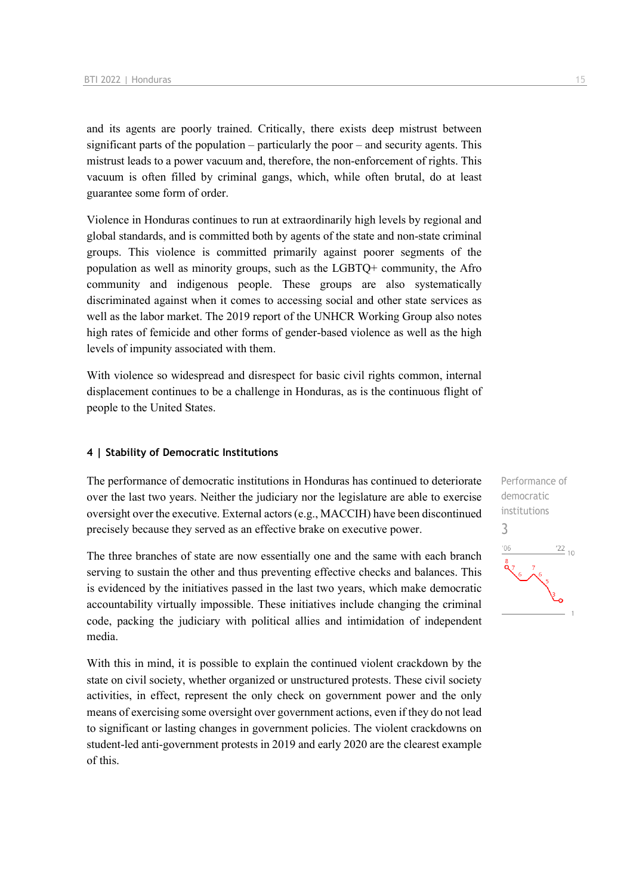and its agents are poorly trained. Critically, there exists deep mistrust between significant parts of the population – particularly the poor – and security agents. This mistrust leads to a power vacuum and, therefore, the non-enforcement of rights. This vacuum is often filled by criminal gangs, which, while often brutal, do at least guarantee some form of order.

Violence in Honduras continues to run at extraordinarily high levels by regional and global standards, and is committed both by agents of the state and non-state criminal groups. This violence is committed primarily against poorer segments of the population as well as minority groups, such as the LGBTQ+ community, the Afro community and indigenous people. These groups are also systematically discriminated against when it comes to accessing social and other state services as well as the labor market. The 2019 report of the UNHCR Working Group also notes high rates of femicide and other forms of gender-based violence as well as the high levels of impunity associated with them.

With violence so widespread and disrespect for basic civil rights common, internal displacement continues to be a challenge in Honduras, as is the continuous flight of people to the United States.

#### **4 | Stability of Democratic Institutions**

The performance of democratic institutions in Honduras has continued to deteriorate over the last two years. Neither the judiciary nor the legislature are able to exercise oversight over the executive. External actors (e.g., MACCIH) have been discontinued precisely because they served as an effective brake on executive power.

The three branches of state are now essentially one and the same with each branch serving to sustain the other and thus preventing effective checks and balances. This is evidenced by the initiatives passed in the last two years, which make democratic accountability virtually impossible. These initiatives include changing the criminal code, packing the judiciary with political allies and intimidation of independent media.

With this in mind, it is possible to explain the continued violent crackdown by the state on civil society, whether organized or unstructured protests. These civil society activities, in effect, represent the only check on government power and the only means of exercising some oversight over government actions, even if they do not lead to significant or lasting changes in government policies. The violent crackdowns on student-led anti-government protests in 2019 and early 2020 are the clearest example of this.

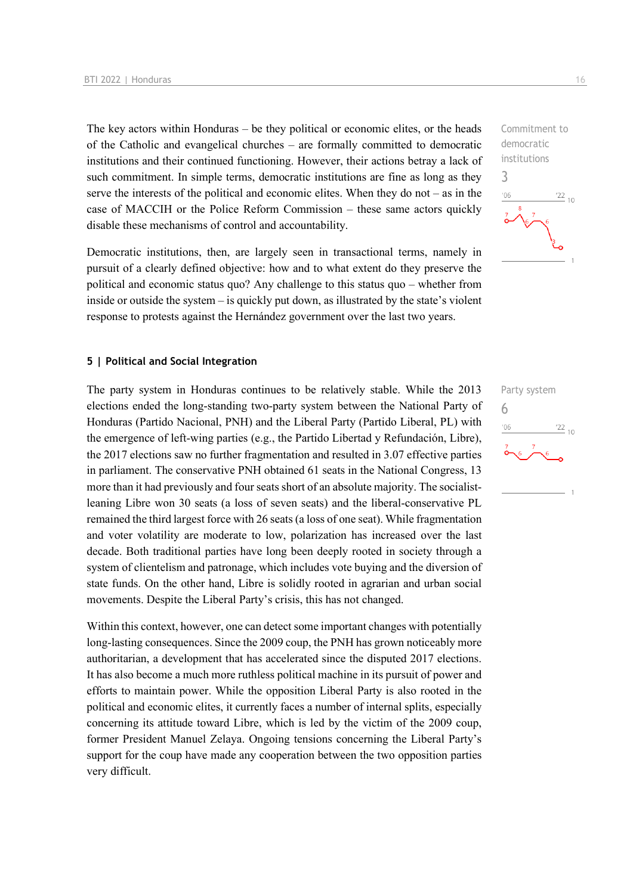The key actors within Honduras – be they political or economic elites, or the heads of the Catholic and evangelical churches – are formally committed to democratic institutions and their continued functioning. However, their actions betray a lack of such commitment. In simple terms, democratic institutions are fine as long as they serve the interests of the political and economic elites. When they do not – as in the case of MACCIH or the Police Reform Commission – these same actors quickly disable these mechanisms of control and accountability.

Democratic institutions, then, are largely seen in transactional terms, namely in pursuit of a clearly defined objective: how and to what extent do they preserve the political and economic status quo? Any challenge to this status quo – whether from inside or outside the system – is quickly put down, as illustrated by the state's violent response to protests against the Hernández government over the last two years.

#### **5 | Political and Social Integration**

The party system in Honduras continues to be relatively stable. While the 2013 elections ended the long-standing two-party system between the National Party of Honduras (Partido Nacional, PNH) and the Liberal Party (Partido Liberal, PL) with the emergence of left-wing parties (e.g., the Partido Libertad y Refundación, Libre), the 2017 elections saw no further fragmentation and resulted in 3.07 effective parties in parliament. The conservative PNH obtained 61 seats in the National Congress, 13 more than it had previously and four seats short of an absolute majority. The socialistleaning Libre won 30 seats (a loss of seven seats) and the liberal-conservative PL remained the third largest force with 26 seats (a loss of one seat). While fragmentation and voter volatility are moderate to low, polarization has increased over the last decade. Both traditional parties have long been deeply rooted in society through a system of clientelism and patronage, which includes vote buying and the diversion of state funds. On the other hand, Libre is solidly rooted in agrarian and urban social movements. Despite the Liberal Party's crisis, this has not changed.

Within this context, however, one can detect some important changes with potentially long-lasting consequences. Since the 2009 coup, the PNH has grown noticeably more authoritarian, a development that has accelerated since the disputed 2017 elections. It has also become a much more ruthless political machine in its pursuit of power and efforts to maintain power. While the opposition Liberal Party is also rooted in the political and economic elites, it currently faces a number of internal splits, especially concerning its attitude toward Libre, which is led by the victim of the 2009 coup, former President Manuel Zelaya. Ongoing tensions concerning the Liberal Party's support for the coup have made any cooperation between the two opposition parties very difficult.



Party system 6 $\frac{22}{10}$  $-06$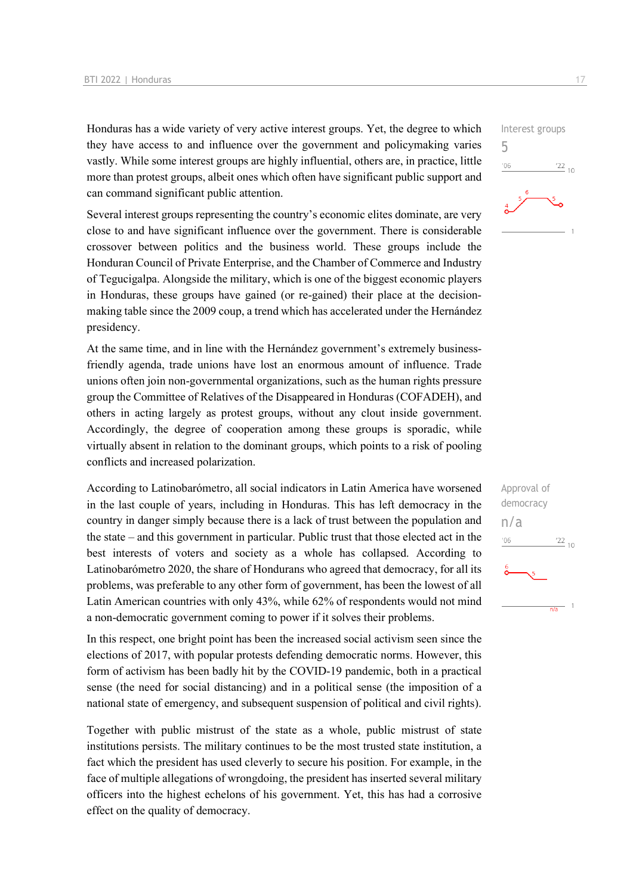Honduras has a wide variety of very active interest groups. Yet, the degree to which they have access to and influence over the government and policymaking varies vastly. While some interest groups are highly influential, others are, in practice, little more than protest groups, albeit ones which often have significant public support and can command significant public attention.

Several interest groups representing the country's economic elites dominate, are very close to and have significant influence over the government. There is considerable crossover between politics and the business world. These groups include the Honduran Council of Private Enterprise, and the Chamber of Commerce and Industry of Tegucigalpa. Alongside the military, which is one of the biggest economic players in Honduras, these groups have gained (or re-gained) their place at the decisionmaking table since the 2009 coup, a trend which has accelerated under the Hernández presidency.

At the same time, and in line with the Hernández government's extremely businessfriendly agenda, trade unions have lost an enormous amount of influence. Trade unions often join non-governmental organizations, such as the human rights pressure group the Committee of Relatives of the Disappeared in Honduras (COFADEH), and others in acting largely as protest groups, without any clout inside government. Accordingly, the degree of cooperation among these groups is sporadic, while virtually absent in relation to the dominant groups, which points to a risk of pooling conflicts and increased polarization.

According to Latinobarómetro, all social indicators in Latin America have worsened in the last couple of years, including in Honduras. This has left democracy in the country in danger simply because there is a lack of trust between the population and the state – and this government in particular. Public trust that those elected act in the best interests of voters and society as a whole has collapsed. According to Latinobarómetro 2020, the share of Hondurans who agreed that democracy, for all its problems, was preferable to any other form of government, has been the lowest of all Latin American countries with only 43%, while 62% of respondents would not mind a non-democratic government coming to power if it solves their problems.

In this respect, one bright point has been the increased social activism seen since the elections of 2017, with popular protests defending democratic norms. However, this form of activism has been badly hit by the COVID-19 pandemic, both in a practical sense (the need for social distancing) and in a political sense (the imposition of a national state of emergency, and subsequent suspension of political and civil rights).

Together with public mistrust of the state as a whole, public mistrust of state institutions persists. The military continues to be the most trusted state institution, a fact which the president has used cleverly to secure his position. For example, in the face of multiple allegations of wrongdoing, the president has inserted several military officers into the highest echelons of his government. Yet, this has had a corrosive effect on the quality of democracy.

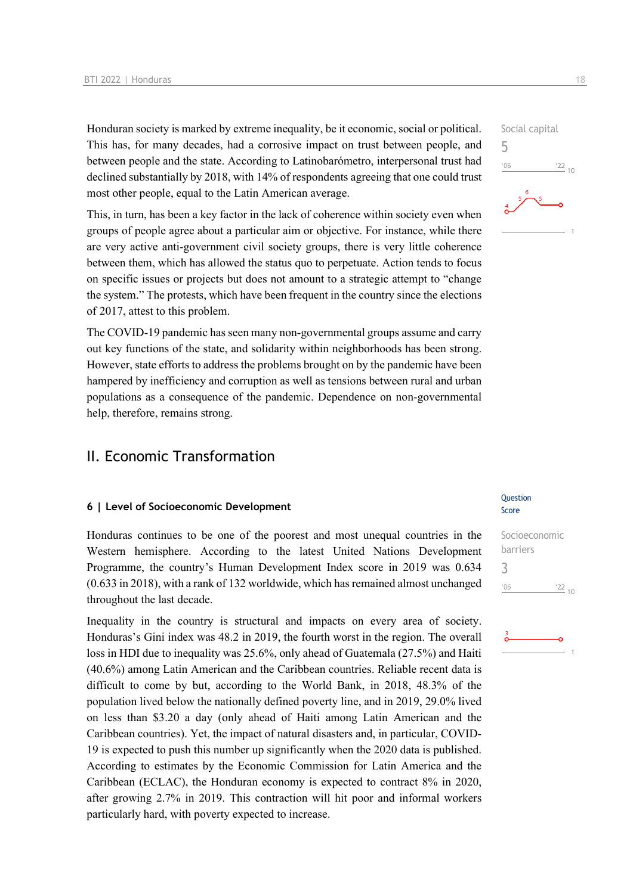Honduran society is marked by extreme inequality, be it economic, social or political. This has, for many decades, had a corrosive impact on trust between people, and between people and the state. According to Latinobarómetro, interpersonal trust had declined substantially by 2018, with 14% of respondents agreeing that one could trust most other people, equal to the Latin American average.

This, in turn, has been a key factor in the lack of coherence within society even when groups of people agree about a particular aim or objective. For instance, while there are very active anti-government civil society groups, there is very little coherence between them, which has allowed the status quo to perpetuate. Action tends to focus on specific issues or projects but does not amount to a strategic attempt to "change the system." The protests, which have been frequent in the country since the elections of 2017, attest to this problem.

The COVID-19 pandemic has seen many non-governmental groups assume and carry out key functions of the state, and solidarity within neighborhoods has been strong. However, state efforts to address the problems brought on by the pandemic have been hampered by inefficiency and corruption as well as tensions between rural and urban populations as a consequence of the pandemic. Dependence on non-governmental help, therefore, remains strong.

### II. Economic Transformation

#### **6 | Level of Socioeconomic Development**

Honduras continues to be one of the poorest and most unequal countries in the Western hemisphere. According to the latest United Nations Development Programme, the country's Human Development Index score in 2019 was 0.634 (0.633 in 2018), with a rank of 132 worldwide, which has remained almost unchanged throughout the last decade.

Inequality in the country is structural and impacts on every area of society. Honduras's Gini index was 48.2 in 2019, the fourth worst in the region. The overall loss in HDI due to inequality was 25.6%, only ahead of Guatemala (27.5%) and Haiti (40.6%) among Latin American and the Caribbean countries. Reliable recent data is difficult to come by but, according to the World Bank, in 2018, 48.3% of the population lived below the nationally defined poverty line, and in 2019, 29.0% lived on less than \$3.20 a day (only ahead of Haiti among Latin American and the Caribbean countries). Yet, the impact of natural disasters and, in particular, COVID-19 is expected to push this number up significantly when the 2020 data is published. According to estimates by the Economic Commission for Latin America and the Caribbean (ECLAC), the Honduran economy is expected to contract 8% in 2020, after growing 2.7% in 2019. This contraction will hit poor and informal workers particularly hard, with poverty expected to increase.

## Social capital 5  $^{\prime}06$  $\frac{22}{10}$

#### **Ouestion** Score

#### Socioeconomic barriers 3 $\frac{22}{10}$  $'06$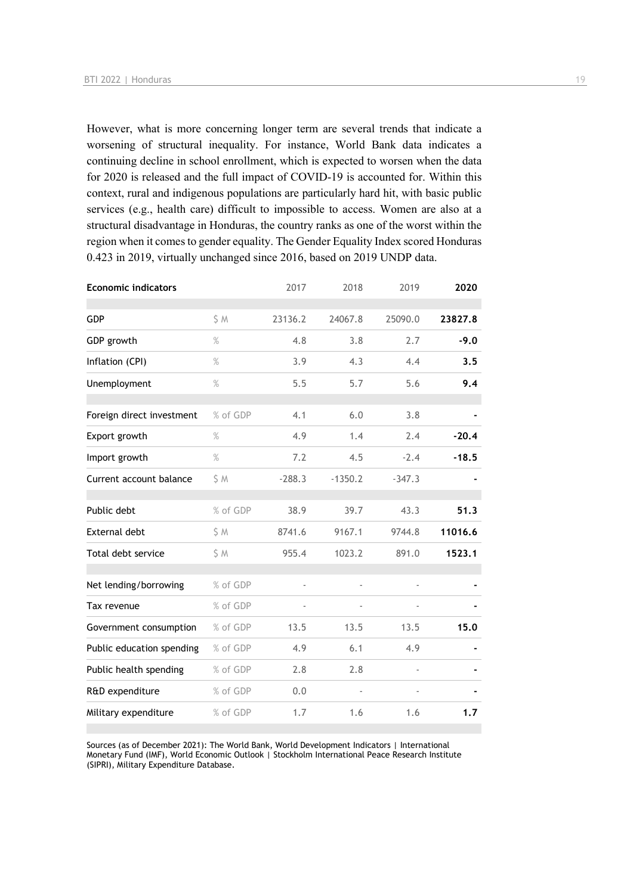However, what is more concerning longer term are several trends that indicate a worsening of structural inequality. For instance, World Bank data indicates a continuing decline in school enrollment, which is expected to worsen when the data for 2020 is released and the full impact of COVID-19 is accounted for. Within this context, rural and indigenous populations are particularly hard hit, with basic public services (e.g., health care) difficult to impossible to access. Women are also at a structural disadvantage in Honduras, the country ranks as one of the worst within the region when it comes to gender equality. The Gender Equality Index scored Honduras 0.423 in 2019, virtually unchanged since 2016, based on 2019 UNDP data.

| <b>Economic indicators</b> |          | 2017     | 2018           | 2019           | 2020    |
|----------------------------|----------|----------|----------------|----------------|---------|
| <b>GDP</b>                 | \$M      | 23136.2  | 24067.8        | 25090.0        | 23827.8 |
| GDP growth                 | $\%$     | 4.8      | 3.8            | 2.7            | $-9.0$  |
| Inflation (CPI)            | $\%$     | 3.9      | 4.3            | 4.4            | 3.5     |
| Unemployment               | $\%$     | 5.5      | 5.7            | 5.6            | 9.4     |
| Foreign direct investment  | % of GDP | 4.1      | 6.0            | 3.8            |         |
| Export growth              | $\%$     | 4.9      | 1.4            | 2.4            | $-20.4$ |
| Import growth              | $\%$     | 7.2      | 4.5            | $-2.4$         | $-18.5$ |
| Current account balance    | \$M      | $-288.3$ | $-1350.2$      | $-347.3$       |         |
| Public debt                | % of GDP | 38.9     | 39.7           | 43.3           | 51.3    |
| <b>External debt</b>       | \$M      | 8741.6   | 9167.1         | 9744.8         | 11016.6 |
| Total debt service         | \$ M     | 955.4    | 1023.2         | 891.0          | 1523.1  |
| Net lending/borrowing      | % of GDP | ä,       | ä,             |                |         |
| Tax revenue                | % of GDP |          |                |                |         |
| Government consumption     | % of GDP | 13.5     | 13.5           | 13.5           | 15.0    |
| Public education spending  | % of GDP | 4.9      | 6.1            | 4.9            |         |
| Public health spending     | % of GDP | 2.8      | 2.8            |                |         |
| R&D expenditure            | % of GDP | 0.0      | $\blacksquare$ | $\blacksquare$ |         |
| Military expenditure       | % of GDP | 1.7      | 1.6            | 1.6            | 1.7     |

Sources (as of December 2021): The World Bank, World Development Indicators | International Monetary Fund (IMF), World Economic Outlook | Stockholm International Peace Research Institute (SIPRI), Military Expenditure Database.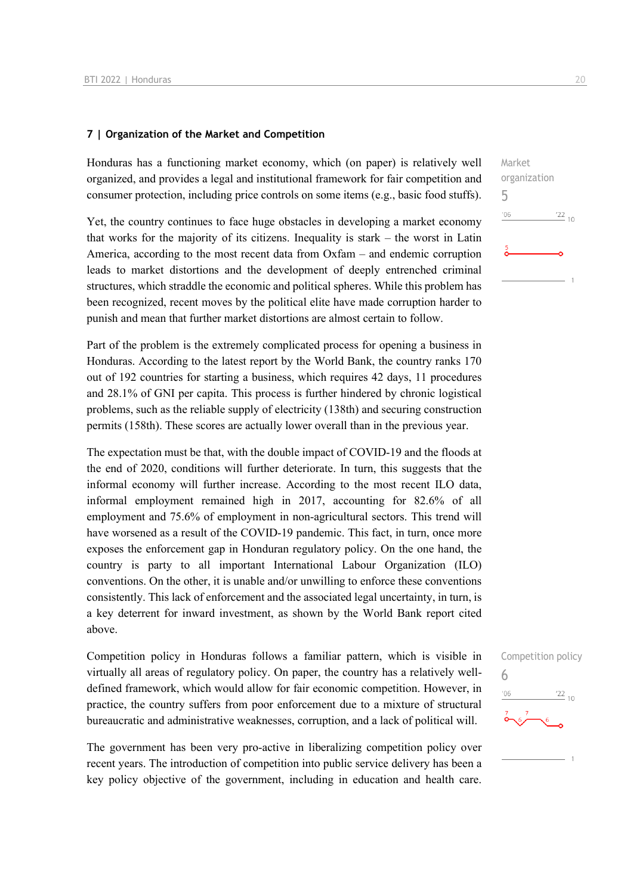#### **7 | Organization of the Market and Competition**

Honduras has a functioning market economy, which (on paper) is relatively well organized, and provides a legal and institutional framework for fair competition and consumer protection, including price controls on some items (e.g., basic food stuffs).

Yet, the country continues to face huge obstacles in developing a market economy that works for the majority of its citizens. Inequality is stark – the worst in Latin America, according to the most recent data from Oxfam – and endemic corruption leads to market distortions and the development of deeply entrenched criminal structures, which straddle the economic and political spheres. While this problem has been recognized, recent moves by the political elite have made corruption harder to punish and mean that further market distortions are almost certain to follow.

Part of the problem is the extremely complicated process for opening a business in Honduras. According to the latest report by the World Bank, the country ranks 170 out of 192 countries for starting a business, which requires 42 days, 11 procedures and 28.1% of GNI per capita. This process is further hindered by chronic logistical problems, such as the reliable supply of electricity (138th) and securing construction permits (158th). These scores are actually lower overall than in the previous year.

The expectation must be that, with the double impact of COVID-19 and the floods at the end of 2020, conditions will further deteriorate. In turn, this suggests that the informal economy will further increase. According to the most recent ILO data, informal employment remained high in 2017, accounting for 82.6% of all employment and 75.6% of employment in non-agricultural sectors. This trend will have worsened as a result of the COVID-19 pandemic. This fact, in turn, once more exposes the enforcement gap in Honduran regulatory policy. On the one hand, the country is party to all important International Labour Organization (ILO) conventions. On the other, it is unable and/or unwilling to enforce these conventions consistently. This lack of enforcement and the associated legal uncertainty, in turn, is a key deterrent for inward investment, as shown by the World Bank report cited above.

Competition policy in Honduras follows a familiar pattern, which is visible in virtually all areas of regulatory policy. On paper, the country has a relatively welldefined framework, which would allow for fair economic competition. However, in practice, the country suffers from poor enforcement due to a mixture of structural bureaucratic and administrative weaknesses, corruption, and a lack of political will.

The government has been very pro-active in liberalizing competition policy over recent years. The introduction of competition into public service delivery has been a key policy objective of the government, including in education and health care. Market organization 5  $^{\prime}06$  $122_{10}$ 

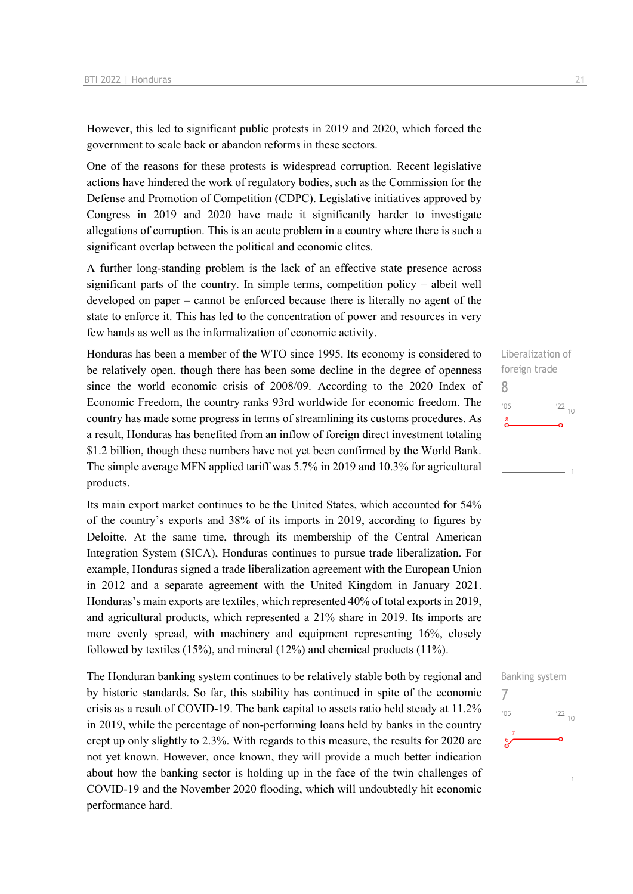However, this led to significant public protests in 2019 and 2020, which forced the government to scale back or abandon reforms in these sectors.

One of the reasons for these protests is widespread corruption. Recent legislative actions have hindered the work of regulatory bodies, such as the Commission for the Defense and Promotion of Competition (CDPC). Legislative initiatives approved by Congress in 2019 and 2020 have made it significantly harder to investigate allegations of corruption. This is an acute problem in a country where there is such a significant overlap between the political and economic elites.

A further long-standing problem is the lack of an effective state presence across significant parts of the country. In simple terms, competition policy – albeit well developed on paper – cannot be enforced because there is literally no agent of the state to enforce it. This has led to the concentration of power and resources in very few hands as well as the informalization of economic activity.

Honduras has been a member of the WTO since 1995. Its economy is considered to be relatively open, though there has been some decline in the degree of openness since the world economic crisis of 2008/09. According to the 2020 Index of Economic Freedom, the country ranks 93rd worldwide for economic freedom. The country has made some progress in terms of streamlining its customs procedures. As a result, Honduras has benefited from an inflow of foreign direct investment totaling \$1.2 billion, though these numbers have not yet been confirmed by the World Bank. The simple average MFN applied tariff was 5.7% in 2019 and 10.3% for agricultural products.

Its main export market continues to be the United States, which accounted for 54% of the country's exports and 38% of its imports in 2019, according to figures by Deloitte. At the same time, through its membership of the Central American Integration System (SICA), Honduras continues to pursue trade liberalization. For example, Honduras signed a trade liberalization agreement with the European Union in 2012 and a separate agreement with the United Kingdom in January 2021. Honduras's main exports are textiles, which represented 40% of total exports in 2019, and agricultural products, which represented a 21% share in 2019. Its imports are more evenly spread, with machinery and equipment representing 16%, closely followed by textiles (15%), and mineral (12%) and chemical products (11%).

The Honduran banking system continues to be relatively stable both by regional and by historic standards. So far, this stability has continued in spite of the economic crisis as a result of COVID-19. The bank capital to assets ratio held steady at 11.2% in 2019, while the percentage of non-performing loans held by banks in the country crept up only slightly to 2.3%. With regards to this measure, the results for 2020 are not yet known. However, once known, they will provide a much better indication about how the banking sector is holding up in the face of the twin challenges of COVID-19 and the November 2020 flooding, which will undoubtedly hit economic performance hard.

Liberalization of foreign trade 8  $\frac{22}{10}$  $106$  $\sum_{i=1}^{8}$ 

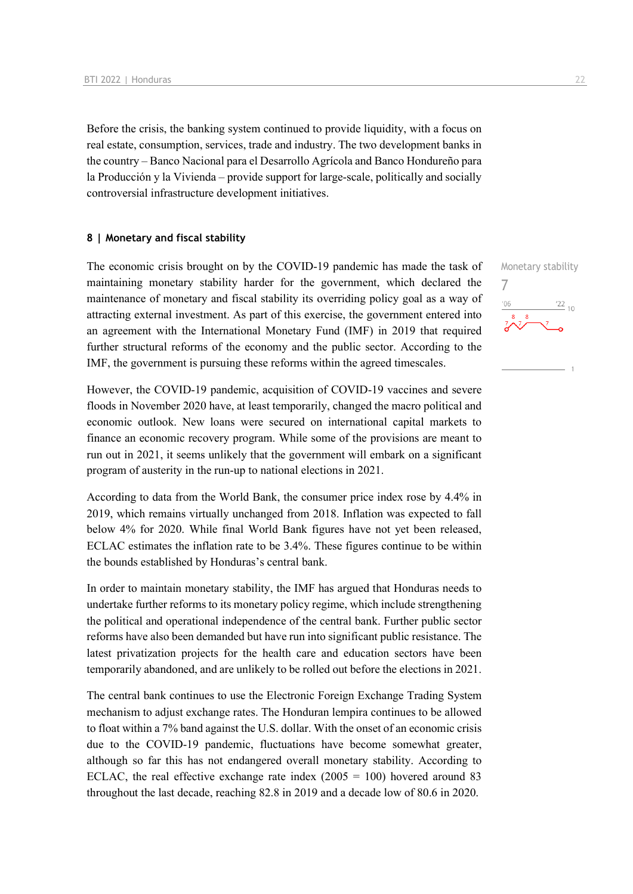Before the crisis, the banking system continued to provide liquidity, with a focus on real estate, consumption, services, trade and industry. The two development banks in the country – Banco Nacional para el Desarrollo Agrícola and Banco Hondureño para la Producción y la Vivienda – provide support for large-scale, politically and socially controversial infrastructure development initiatives.

#### **8 | Monetary and fiscal stability**

The economic crisis brought on by the COVID-19 pandemic has made the task of maintaining monetary stability harder for the government, which declared the maintenance of monetary and fiscal stability its overriding policy goal as a way of attracting external investment. As part of this exercise, the government entered into an agreement with the International Monetary Fund (IMF) in 2019 that required further structural reforms of the economy and the public sector. According to the IMF, the government is pursuing these reforms within the agreed timescales.

However, the COVID-19 pandemic, acquisition of COVID-19 vaccines and severe floods in November 2020 have, at least temporarily, changed the macro political and economic outlook. New loans were secured on international capital markets to finance an economic recovery program. While some of the provisions are meant to run out in 2021, it seems unlikely that the government will embark on a significant program of austerity in the run-up to national elections in 2021.

According to data from the World Bank, the consumer price index rose by 4.4% in 2019, which remains virtually unchanged from 2018. Inflation was expected to fall below 4% for 2020. While final World Bank figures have not yet been released, ECLAC estimates the inflation rate to be 3.4%. These figures continue to be within the bounds established by Honduras's central bank.

In order to maintain monetary stability, the IMF has argued that Honduras needs to undertake further reforms to its monetary policy regime, which include strengthening the political and operational independence of the central bank. Further public sector reforms have also been demanded but have run into significant public resistance. The latest privatization projects for the health care and education sectors have been temporarily abandoned, and are unlikely to be rolled out before the elections in 2021.

The central bank continues to use the Electronic Foreign Exchange Trading System mechanism to adjust exchange rates. The Honduran lempira continues to be allowed to float within a 7% band against the U.S. dollar. With the onset of an economic crisis due to the COVID-19 pandemic, fluctuations have become somewhat greater, although so far this has not endangered overall monetary stability. According to ECLAC, the real effective exchange rate index  $(2005 = 100)$  hovered around 83 throughout the last decade, reaching 82.8 in 2019 and a decade low of 80.6 in 2020.

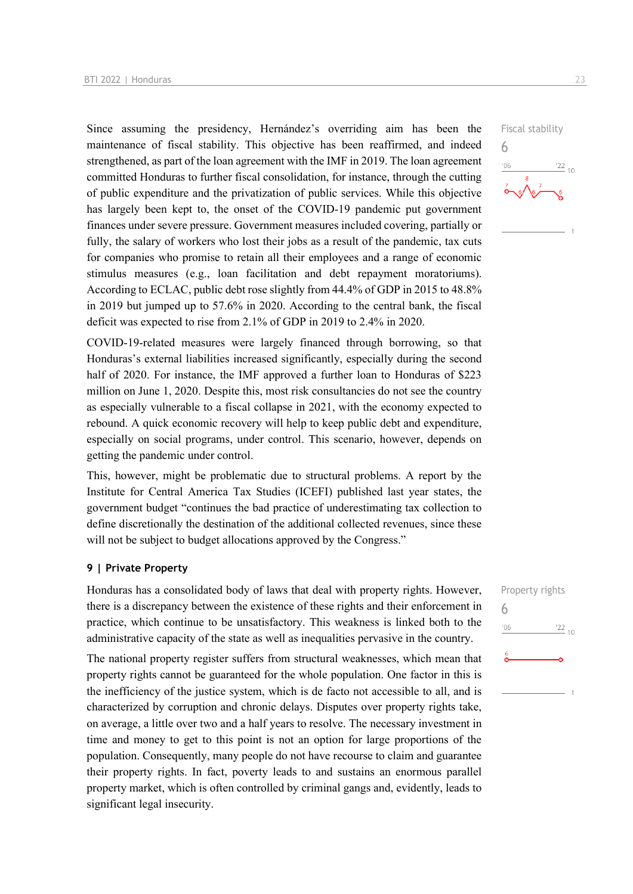Since assuming the presidency, Hernández's overriding aim has been the maintenance of fiscal stability. This objective has been reaffirmed, and indeed strengthened, as part of the loan agreement with the IMF in 2019. The loan agreement committed Honduras to further fiscal consolidation, for instance, through the cutting of public expenditure and the privatization of public services. While this objective has largely been kept to, the onset of the COVID-19 pandemic put government finances under severe pressure. Government measures included covering, partially or fully, the salary of workers who lost their jobs as a result of the pandemic, tax cuts for companies who promise to retain all their employees and a range of economic stimulus measures (e.g., loan facilitation and debt repayment moratoriums). According to ECLAC, public debt rose slightly from 44.4% of GDP in 2015 to 48.8% in 2019 but jumped up to 57.6% in 2020. According to the central bank, the fiscal deficit was expected to rise from 2.1% of GDP in 2019 to 2.4% in 2020.

COVID-19-related measures were largely financed through borrowing, so that Honduras's external liabilities increased significantly, especially during the second half of 2020. For instance, the IMF approved a further loan to Honduras of \$223 million on June 1, 2020. Despite this, most risk consultancies do not see the country as especially vulnerable to a fiscal collapse in 2021, with the economy expected to rebound. A quick economic recovery will help to keep public debt and expenditure, especially on social programs, under control. This scenario, however, depends on getting the pandemic under control.

This, however, might be problematic due to structural problems. A report by the Institute for Central America Tax Studies (ICEFI) published last year states, the government budget "continues the bad practice of underestimating tax collection to define discretionally the destination of the additional collected revenues, since these will not be subject to budget allocations approved by the Congress."

#### **9 | Private Property**

Honduras has a consolidated body of laws that deal with property rights. However, there is a discrepancy between the existence of these rights and their enforcement in practice, which continue to be unsatisfactory. This weakness is linked both to the administrative capacity of the state as well as inequalities pervasive in the country.

The national property register suffers from structural weaknesses, which mean that property rights cannot be guaranteed for the whole population. One factor in this is the inefficiency of the justice system, which is de facto not accessible to all, and is characterized by corruption and chronic delays. Disputes over property rights take, on average, a little over two and a half years to resolve. The necessary investment in time and money to get to this point is not an option for large proportions of the population. Consequently, many people do not have recourse to claim and guarantee their property rights. In fact, poverty leads to and sustains an enormous parallel property market, which is often controlled by criminal gangs and, evidently, leads to significant legal insecurity.

Property rights

 $\frac{22}{10}$ 

6

 $106$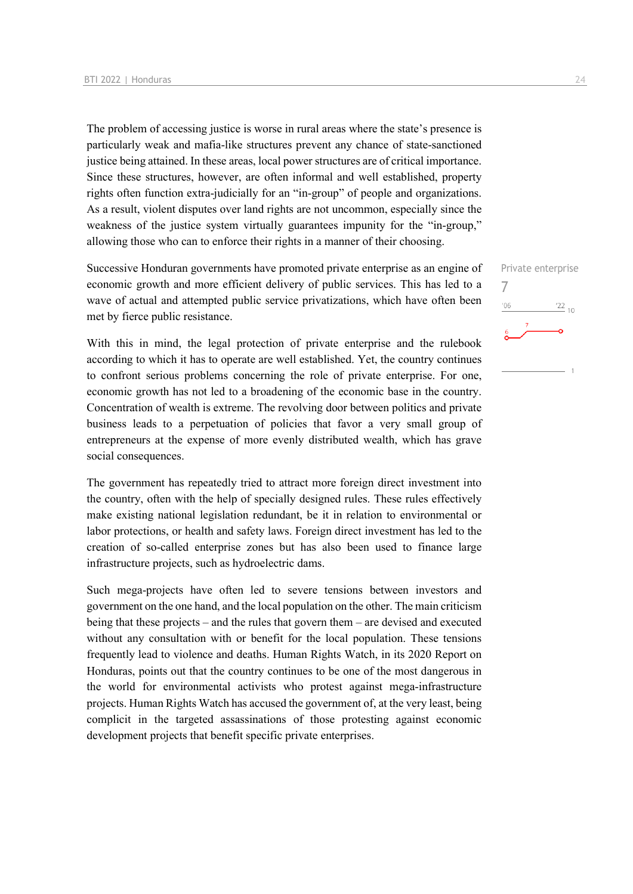The problem of accessing justice is worse in rural areas where the state's presence is particularly weak and mafia-like structures prevent any chance of state-sanctioned justice being attained. In these areas, local power structures are of critical importance. Since these structures, however, are often informal and well established, property rights often function extra-judicially for an "in-group" of people and organizations. As a result, violent disputes over land rights are not uncommon, especially since the weakness of the justice system virtually guarantees impunity for the "in-group," allowing those who can to enforce their rights in a manner of their choosing.

Successive Honduran governments have promoted private enterprise as an engine of economic growth and more efficient delivery of public services. This has led to a wave of actual and attempted public service privatizations, which have often been met by fierce public resistance.

With this in mind, the legal protection of private enterprise and the rulebook according to which it has to operate are well established. Yet, the country continues to confront serious problems concerning the role of private enterprise. For one, economic growth has not led to a broadening of the economic base in the country. Concentration of wealth is extreme. The revolving door between politics and private business leads to a perpetuation of policies that favor a very small group of entrepreneurs at the expense of more evenly distributed wealth, which has grave social consequences.

The government has repeatedly tried to attract more foreign direct investment into the country, often with the help of specially designed rules. These rules effectively make existing national legislation redundant, be it in relation to environmental or labor protections, or health and safety laws. Foreign direct investment has led to the creation of so-called enterprise zones but has also been used to finance large infrastructure projects, such as hydroelectric dams.

Such mega-projects have often led to severe tensions between investors and government on the one hand, and the local population on the other. The main criticism being that these projects – and the rules that govern them – are devised and executed without any consultation with or benefit for the local population. These tensions frequently lead to violence and deaths. Human Rights Watch, in its 2020 Report on Honduras, points out that the country continues to be one of the most dangerous in the world for environmental activists who protest against mega-infrastructure projects. Human Rights Watch has accused the government of, at the very least, being complicit in the targeted assassinations of those protesting against economic development projects that benefit specific private enterprises.

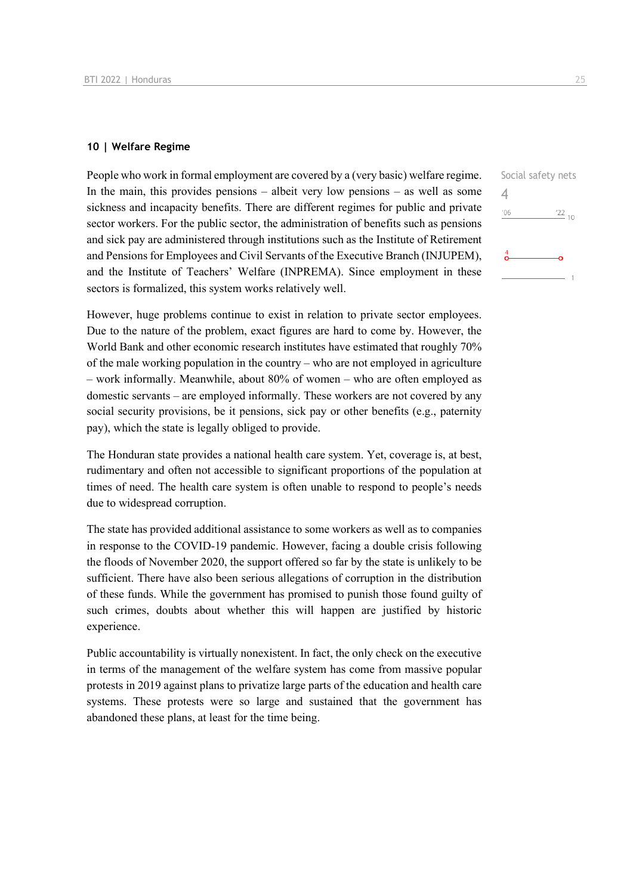#### **10 | Welfare Regime**

People who work in formal employment are covered by a (very basic) welfare regime. In the main, this provides pensions – albeit very low pensions – as well as some sickness and incapacity benefits. There are different regimes for public and private sector workers. For the public sector, the administration of benefits such as pensions and sick pay are administered through institutions such as the Institute of Retirement and Pensions for Employees and Civil Servants of the Executive Branch (INJUPEM), and the Institute of Teachers' Welfare (INPREMA). Since employment in these sectors is formalized, this system works relatively well.

However, huge problems continue to exist in relation to private sector employees. Due to the nature of the problem, exact figures are hard to come by. However, the World Bank and other economic research institutes have estimated that roughly 70% of the male working population in the country – who are not employed in agriculture – work informally. Meanwhile, about 80% of women – who are often employed as domestic servants – are employed informally. These workers are not covered by any social security provisions, be it pensions, sick pay or other benefits (e.g., paternity pay), which the state is legally obliged to provide.

The Honduran state provides a national health care system. Yet, coverage is, at best, rudimentary and often not accessible to significant proportions of the population at times of need. The health care system is often unable to respond to people's needs due to widespread corruption.

The state has provided additional assistance to some workers as well as to companies in response to the COVID-19 pandemic. However, facing a double crisis following the floods of November 2020, the support offered so far by the state is unlikely to be sufficient. There have also been serious allegations of corruption in the distribution of these funds. While the government has promised to punish those found guilty of such crimes, doubts about whether this will happen are justified by historic experience.

Public accountability is virtually nonexistent. In fact, the only check on the executive in terms of the management of the welfare system has come from massive popular protests in 2019 against plans to privatize large parts of the education and health care systems. These protests were so large and sustained that the government has abandoned these plans, at least for the time being.

| Social safety nets     |
|------------------------|
|                        |
| '06<br>$\frac{22}{10}$ |
|                        |
|                        |
|                        |
|                        |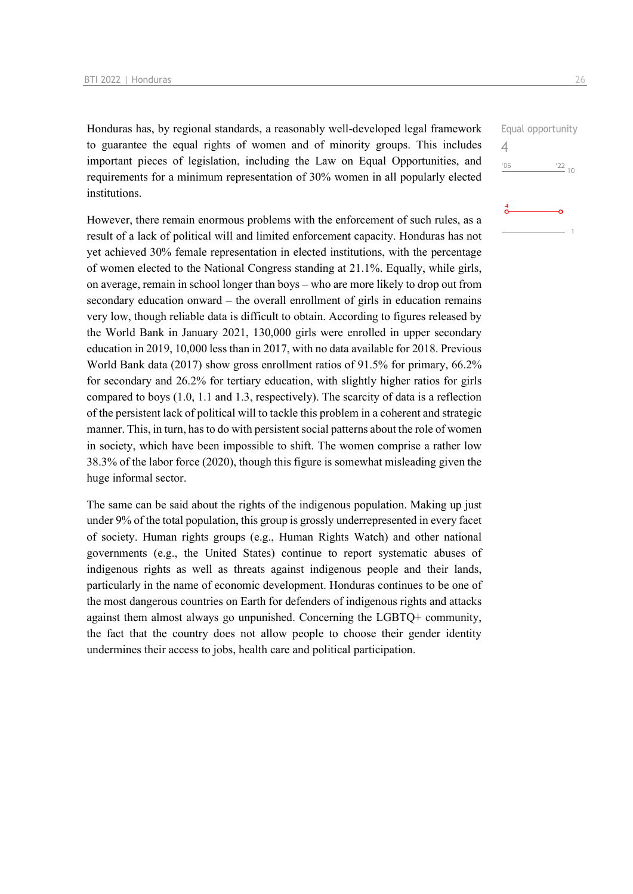Honduras has, by regional standards, a reasonably well-developed legal framework to guarantee the equal rights of women and of minority groups. This includes important pieces of legislation, including the Law on Equal Opportunities, and requirements for a minimum representation of 30% women in all popularly elected institutions.

However, there remain enormous problems with the enforcement of such rules, as a result of a lack of political will and limited enforcement capacity. Honduras has not yet achieved 30% female representation in elected institutions, with the percentage of women elected to the National Congress standing at 21.1%. Equally, while girls, on average, remain in school longer than boys – who are more likely to drop out from secondary education onward – the overall enrollment of girls in education remains very low, though reliable data is difficult to obtain. According to figures released by the World Bank in January 2021, 130,000 girls were enrolled in upper secondary education in 2019, 10,000 less than in 2017, with no data available for 2018. Previous World Bank data (2017) show gross enrollment ratios of 91.5% for primary, 66.2% for secondary and 26.2% for tertiary education, with slightly higher ratios for girls compared to boys (1.0, 1.1 and 1.3, respectively). The scarcity of data is a reflection of the persistent lack of political will to tackle this problem in a coherent and strategic manner. This, in turn, has to do with persistent social patterns about the role of women in society, which have been impossible to shift. The women comprise a rather low 38.3% of the labor force (2020), though this figure is somewhat misleading given the huge informal sector.

The same can be said about the rights of the indigenous population. Making up just under 9% of the total population, this group is grossly underrepresented in every facet of society. Human rights groups (e.g., Human Rights Watch) and other national governments (e.g., the United States) continue to report systematic abuses of indigenous rights as well as threats against indigenous people and their lands, particularly in the name of economic development. Honduras continues to be one of the most dangerous countries on Earth for defenders of indigenous rights and attacks against them almost always go unpunished. Concerning the LGBTQ+ community, the fact that the country does not allow people to choose their gender identity undermines their access to jobs, health care and political participation.

|     | Equal opportunity |
|-----|-------------------|
|     |                   |
| '06 | $\frac{22}{10}$   |
|     |                   |
|     |                   |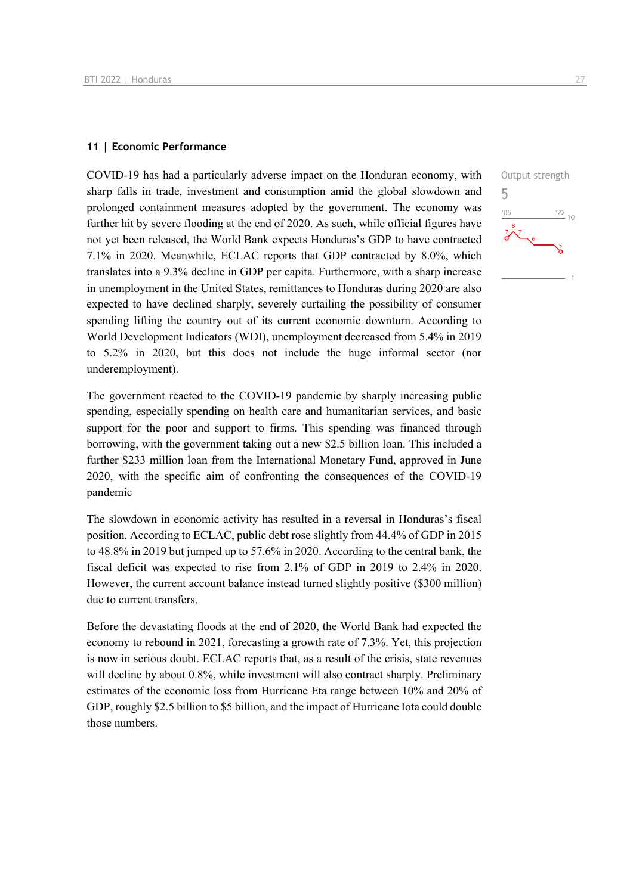#### **11 | Economic Performance**

COVID-19 has had a particularly adverse impact on the Honduran economy, with sharp falls in trade, investment and consumption amid the global slowdown and prolonged containment measures adopted by the government. The economy was further hit by severe flooding at the end of 2020. As such, while official figures have not yet been released, the World Bank expects Honduras's GDP to have contracted 7.1% in 2020. Meanwhile, ECLAC reports that GDP contracted by 8.0%, which translates into a 9.3% decline in GDP per capita. Furthermore, with a sharp increase in unemployment in the United States, remittances to Honduras during 2020 are also expected to have declined sharply, severely curtailing the possibility of consumer spending lifting the country out of its current economic downturn. According to World Development Indicators (WDI), unemployment decreased from 5.4% in 2019 to 5.2% in 2020, but this does not include the huge informal sector (nor underemployment).

The government reacted to the COVID-19 pandemic by sharply increasing public spending, especially spending on health care and humanitarian services, and basic support for the poor and support to firms. This spending was financed through borrowing, with the government taking out a new \$2.5 billion loan. This included a further \$233 million loan from the International Monetary Fund, approved in June 2020, with the specific aim of confronting the consequences of the COVID-19 pandemic

The slowdown in economic activity has resulted in a reversal in Honduras's fiscal position. According to ECLAC, public debt rose slightly from 44.4% of GDP in 2015 to 48.8% in 2019 but jumped up to 57.6% in 2020. According to the central bank, the fiscal deficit was expected to rise from 2.1% of GDP in 2019 to 2.4% in 2020. However, the current account balance instead turned slightly positive (\$300 million) due to current transfers.

Before the devastating floods at the end of 2020, the World Bank had expected the economy to rebound in 2021, forecasting a growth rate of 7.3%. Yet, this projection is now in serious doubt. ECLAC reports that, as a result of the crisis, state revenues will decline by about 0.8%, while investment will also contract sharply. Preliminary estimates of the economic loss from Hurricane Eta range between 10% and 20% of GDP, roughly \$2.5 billion to \$5 billion, and the impact of Hurricane Iota could double those numbers.

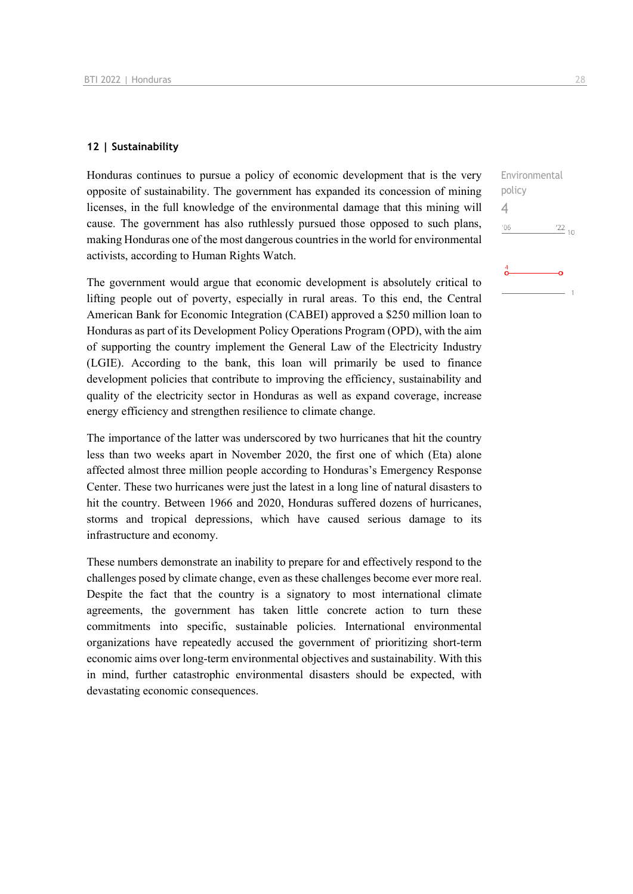#### **12 | Sustainability**

Honduras continues to pursue a policy of economic development that is the very opposite of sustainability. The government has expanded its concession of mining licenses, in the full knowledge of the environmental damage that this mining will cause. The government has also ruthlessly pursued those opposed to such plans, making Honduras one of the most dangerous countries in the world for environmental activists, according to Human Rights Watch.

The government would argue that economic development is absolutely critical to lifting people out of poverty, especially in rural areas. To this end, the Central American Bank for Economic Integration (CABEI) approved a \$250 million loan to Honduras as part of its Development Policy Operations Program (OPD), with the aim of supporting the country implement the General Law of the Electricity Industry (LGIE). According to the bank, this loan will primarily be used to finance development policies that contribute to improving the efficiency, sustainability and quality of the electricity sector in Honduras as well as expand coverage, increase energy efficiency and strengthen resilience to climate change.

The importance of the latter was underscored by two hurricanes that hit the country less than two weeks apart in November 2020, the first one of which (Eta) alone affected almost three million people according to Honduras's Emergency Response Center. These two hurricanes were just the latest in a long line of natural disasters to hit the country. Between 1966 and 2020, Honduras suffered dozens of hurricanes, storms and tropical depressions, which have caused serious damage to its infrastructure and economy.

These numbers demonstrate an inability to prepare for and effectively respond to the challenges posed by climate change, even as these challenges become ever more real. Despite the fact that the country is a signatory to most international climate agreements, the government has taken little concrete action to turn these commitments into specific, sustainable policies. International environmental organizations have repeatedly accused the government of prioritizing short-term economic aims over long-term environmental objectives and sustainability. With this in mind, further catastrophic environmental disasters should be expected, with devastating economic consequences.

## Environmental policy 4 $06'$  $\frac{22}{10}$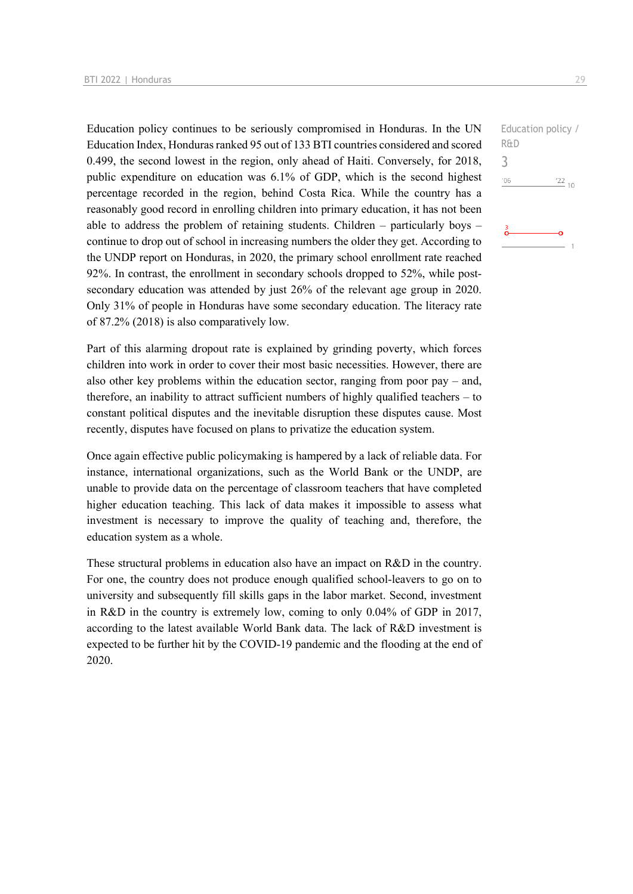Education policy continues to be seriously compromised in Honduras. In the UN Education Index, Honduras ranked 95 out of 133 BTI countries considered and scored 0.499, the second lowest in the region, only ahead of Haiti. Conversely, for 2018, public expenditure on education was 6.1% of GDP, which is the second highest percentage recorded in the region, behind Costa Rica. While the country has a reasonably good record in enrolling children into primary education, it has not been able to address the problem of retaining students. Children – particularly boys – continue to drop out of school in increasing numbers the older they get. According to the UNDP report on Honduras, in 2020, the primary school enrollment rate reached 92%. In contrast, the enrollment in secondary schools dropped to 52%, while postsecondary education was attended by just 26% of the relevant age group in 2020. Only 31% of people in Honduras have some secondary education. The literacy rate of 87.2% (2018) is also comparatively low.

Part of this alarming dropout rate is explained by grinding poverty, which forces children into work in order to cover their most basic necessities. However, there are also other key problems within the education sector, ranging from poor pay – and, therefore, an inability to attract sufficient numbers of highly qualified teachers – to constant political disputes and the inevitable disruption these disputes cause. Most recently, disputes have focused on plans to privatize the education system.

Once again effective public policymaking is hampered by a lack of reliable data. For instance, international organizations, such as the World Bank or the UNDP, are unable to provide data on the percentage of classroom teachers that have completed higher education teaching. This lack of data makes it impossible to assess what investment is necessary to improve the quality of teaching and, therefore, the education system as a whole.

These structural problems in education also have an impact on R&D in the country. For one, the country does not produce enough qualified school-leavers to go on to university and subsequently fill skills gaps in the labor market. Second, investment in R&D in the country is extremely low, coming to only 0.04% of GDP in 2017, according to the latest available World Bank data. The lack of R&D investment is expected to be further hit by the COVID-19 pandemic and the flooding at the end of 2020.

Education policy / R&D 3 $-06$  $\frac{22}{10}$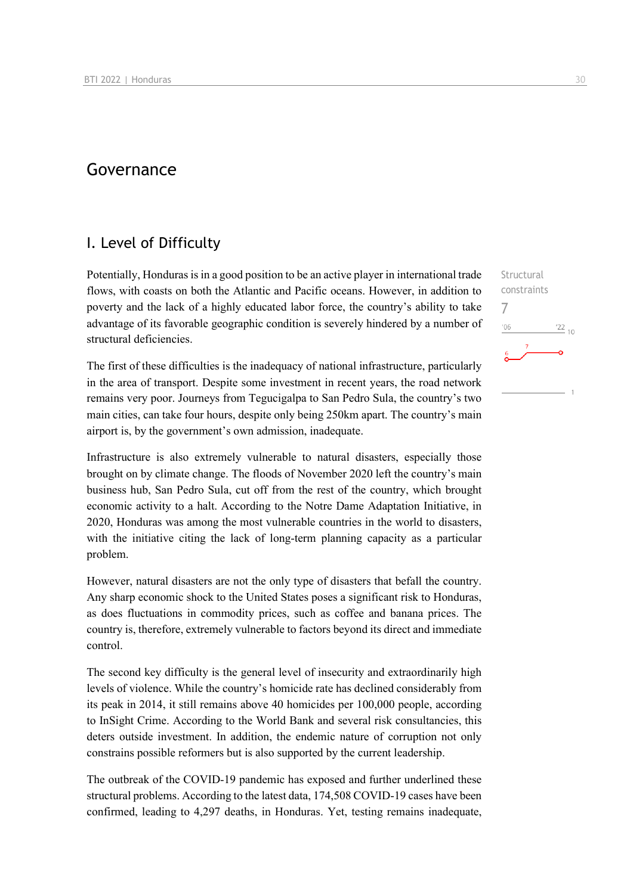## Governance

### I. Level of Difficulty

Potentially, Honduras is in a good position to be an active player in international trade flows, with coasts on both the Atlantic and Pacific oceans. However, in addition to poverty and the lack of a highly educated labor force, the country's ability to take advantage of its favorable geographic condition is severely hindered by a number of structural deficiencies.

The first of these difficulties is the inadequacy of national infrastructure, particularly in the area of transport. Despite some investment in recent years, the road network remains very poor. Journeys from Tegucigalpa to San Pedro Sula, the country's two main cities, can take four hours, despite only being 250km apart. The country's main airport is, by the government's own admission, inadequate.

Infrastructure is also extremely vulnerable to natural disasters, especially those brought on by climate change. The floods of November 2020 left the country's main business hub, San Pedro Sula, cut off from the rest of the country, which brought economic activity to a halt. According to the Notre Dame Adaptation Initiative, in 2020, Honduras was among the most vulnerable countries in the world to disasters, with the initiative citing the lack of long-term planning capacity as a particular problem.

However, natural disasters are not the only type of disasters that befall the country. Any sharp economic shock to the United States poses a significant risk to Honduras, as does fluctuations in commodity prices, such as coffee and banana prices. The country is, therefore, extremely vulnerable to factors beyond its direct and immediate control.

The second key difficulty is the general level of insecurity and extraordinarily high levels of violence. While the country's homicide rate has declined considerably from its peak in 2014, it still remains above 40 homicides per 100,000 people, according to InSight Crime. According to the World Bank and several risk consultancies, this deters outside investment. In addition, the endemic nature of corruption not only constrains possible reformers but is also supported by the current leadership.

The outbreak of the COVID-19 pandemic has exposed and further underlined these structural problems. According to the latest data, 174,508 COVID-19 cases have been confirmed, leading to 4,297 deaths, in Honduras. Yet, testing remains inadequate,  $^{22}$  10

7 $n<sub>6</sub>$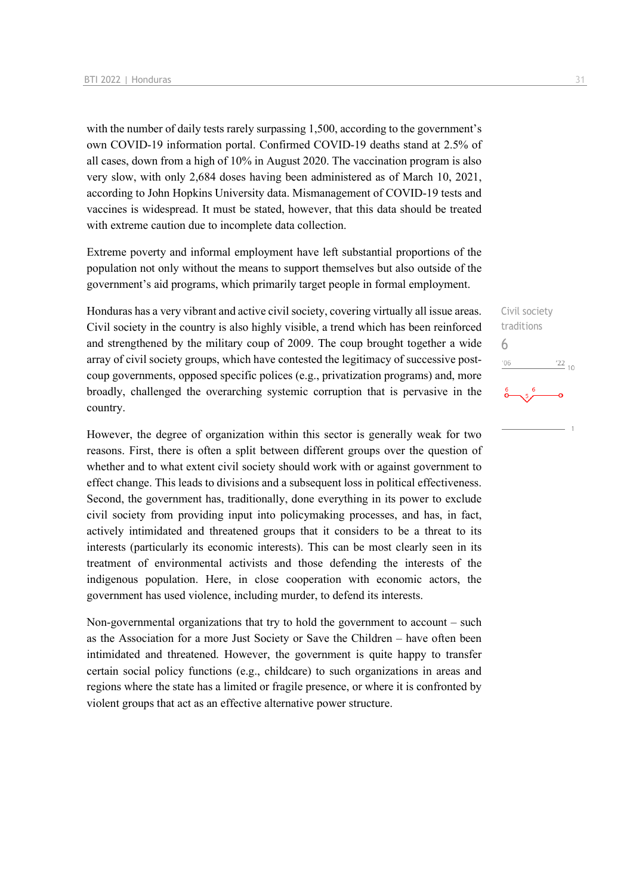with the number of daily tests rarely surpassing 1,500, according to the government's own COVID-19 information portal. Confirmed COVID-19 deaths stand at 2.5% of all cases, down from a high of 10% in August 2020. The vaccination program is also very slow, with only 2,684 doses having been administered as of March 10, 2021, according to John Hopkins University data. Mismanagement of COVID-19 tests and vaccines is widespread. It must be stated, however, that this data should be treated with extreme caution due to incomplete data collection.

Extreme poverty and informal employment have left substantial proportions of the population not only without the means to support themselves but also outside of the government's aid programs, which primarily target people in formal employment.

Honduras has a very vibrant and active civil society, covering virtually all issue areas. Civil society in the country is also highly visible, a trend which has been reinforced and strengthened by the military coup of 2009. The coup brought together a wide array of civil society groups, which have contested the legitimacy of successive postcoup governments, opposed specific polices (e.g., privatization programs) and, more broadly, challenged the overarching systemic corruption that is pervasive in the country.

However, the degree of organization within this sector is generally weak for two reasons. First, there is often a split between different groups over the question of whether and to what extent civil society should work with or against government to effect change. This leads to divisions and a subsequent loss in political effectiveness. Second, the government has, traditionally, done everything in its power to exclude civil society from providing input into policymaking processes, and has, in fact, actively intimidated and threatened groups that it considers to be a threat to its interests (particularly its economic interests). This can be most clearly seen in its treatment of environmental activists and those defending the interests of the indigenous population. Here, in close cooperation with economic actors, the government has used violence, including murder, to defend its interests.

Non-governmental organizations that try to hold the government to account – such as the Association for a more Just Society or Save the Children – have often been intimidated and threatened. However, the government is quite happy to transfer certain social policy functions (e.g., childcare) to such organizations in areas and regions where the state has a limited or fragile presence, or where it is confronted by violent groups that act as an effective alternative power structure.

Civil society traditions 6 $\frac{22}{10}$  $06'$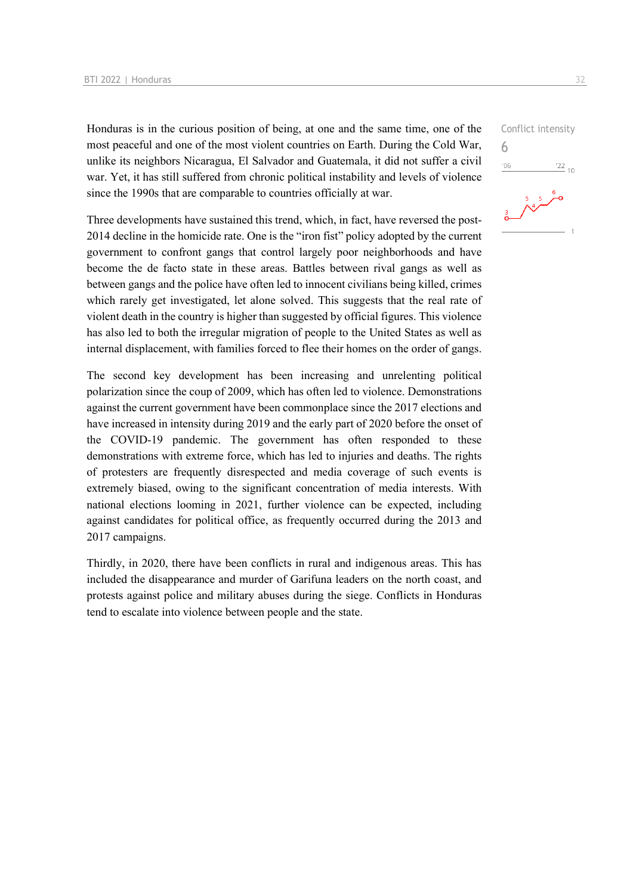Honduras is in the curious position of being, at one and the same time, one of the most peaceful and one of the most violent countries on Earth. During the Cold War, unlike its neighbors Nicaragua, El Salvador and Guatemala, it did not suffer a civil war. Yet, it has still suffered from chronic political instability and levels of violence since the 1990s that are comparable to countries officially at war.

Three developments have sustained this trend, which, in fact, have reversed the post-2014 decline in the homicide rate. One is the "iron fist" policy adopted by the current government to confront gangs that control largely poor neighborhoods and have become the de facto state in these areas. Battles between rival gangs as well as between gangs and the police have often led to innocent civilians being killed, crimes which rarely get investigated, let alone solved. This suggests that the real rate of violent death in the country is higher than suggested by official figures. This violence has also led to both the irregular migration of people to the United States as well as internal displacement, with families forced to flee their homes on the order of gangs.

The second key development has been increasing and unrelenting political polarization since the coup of 2009, which has often led to violence. Demonstrations against the current government have been commonplace since the 2017 elections and have increased in intensity during 2019 and the early part of 2020 before the onset of the COVID-19 pandemic. The government has often responded to these demonstrations with extreme force, which has led to injuries and deaths. The rights of protesters are frequently disrespected and media coverage of such events is extremely biased, owing to the significant concentration of media interests. With national elections looming in 2021, further violence can be expected, including against candidates for political office, as frequently occurred during the 2013 and 2017 campaigns.

Thirdly, in 2020, there have been conflicts in rural and indigenous areas. This has included the disappearance and murder of Garifuna leaders on the north coast, and protests against police and military abuses during the siege. Conflicts in Honduras tend to escalate into violence between people and the state.

Conflict intensity 6 $\frac{22}{10}$  $^{\prime}06$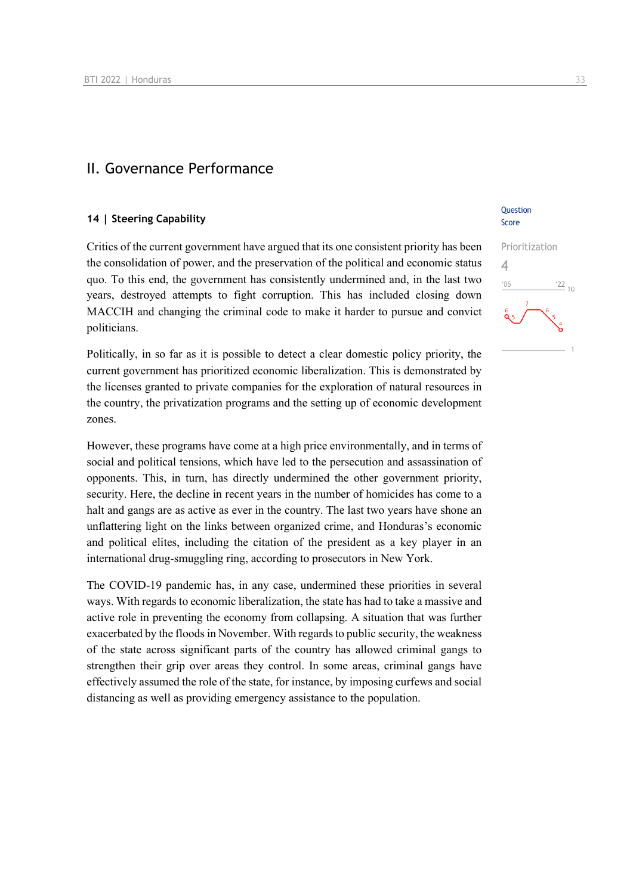### II. Governance Performance

#### **14 | Steering Capability**

Critics of the current government have argued that its one consistent priority has been the consolidation of power, and the preservation of the political and economic status quo. To this end, the government has consistently undermined and, in the last two years, destroyed attempts to fight corruption. This has included closing down MACCIH and changing the criminal code to make it harder to pursue and convict politicians.

Politically, in so far as it is possible to detect a clear domestic policy priority, the current government has prioritized economic liberalization. This is demonstrated by the licenses granted to private companies for the exploration of natural resources in the country, the privatization programs and the setting up of economic development zones.

However, these programs have come at a high price environmentally, and in terms of social and political tensions, which have led to the persecution and assassination of opponents. This, in turn, has directly undermined the other government priority, security. Here, the decline in recent years in the number of homicides has come to a halt and gangs are as active as ever in the country. The last two years have shone an unflattering light on the links between organized crime, and Honduras's economic and political elites, including the citation of the president as a key player in an international drug-smuggling ring, according to prosecutors in New York.

The COVID-19 pandemic has, in any case, undermined these priorities in several ways. With regards to economic liberalization, the state has had to take a massive and active role in preventing the economy from collapsing. A situation that was further exacerbated by the floods in November. With regards to public security, the weakness of the state across significant parts of the country has allowed criminal gangs to strengthen their grip over areas they control. In some areas, criminal gangs have effectively assumed the role of the state, for instance, by imposing curfews and social distancing as well as providing emergency assistance to the population.

#### **Ouestion** Score

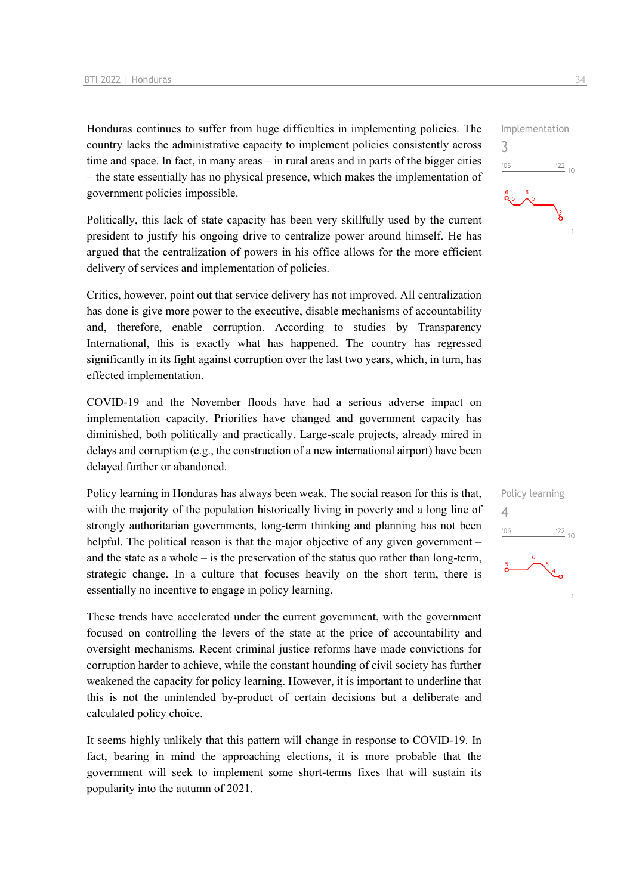Honduras continues to suffer from huge difficulties in implementing policies. The country lacks the administrative capacity to implement policies consistently across time and space. In fact, in many areas – in rural areas and in parts of the bigger cities – the state essentially has no physical presence, which makes the implementation of government policies impossible.

Politically, this lack of state capacity has been very skillfully used by the current president to justify his ongoing drive to centralize power around himself. He has argued that the centralization of powers in his office allows for the more efficient delivery of services and implementation of policies.

Critics, however, point out that service delivery has not improved. All centralization has done is give more power to the executive, disable mechanisms of accountability and, therefore, enable corruption. According to studies by Transparency International, this is exactly what has happened. The country has regressed significantly in its fight against corruption over the last two years, which, in turn, has effected implementation.

COVID-19 and the November floods have had a serious adverse impact on implementation capacity. Priorities have changed and government capacity has diminished, both politically and practically. Large-scale projects, already mired in delays and corruption (e.g., the construction of a new international airport) have been delayed further or abandoned.

Policy learning in Honduras has always been weak. The social reason for this is that, with the majority of the population historically living in poverty and a long line of strongly authoritarian governments, long-term thinking and planning has not been helpful. The political reason is that the major objective of any given government – and the state as a whole – is the preservation of the status quo rather than long-term, strategic change. In a culture that focuses heavily on the short term, there is essentially no incentive to engage in policy learning.

These trends have accelerated under the current government, with the government focused on controlling the levers of the state at the price of accountability and oversight mechanisms. Recent criminal justice reforms have made convictions for corruption harder to achieve, while the constant hounding of civil society has further weakened the capacity for policy learning. However, it is important to underline that this is not the unintended by-product of certain decisions but a deliberate and calculated policy choice.

It seems highly unlikely that this pattern will change in response to COVID-19. In fact, bearing in mind the approaching elections, it is more probable that the government will seek to implement some short-terms fixes that will sustain its popularity into the autumn of 2021.



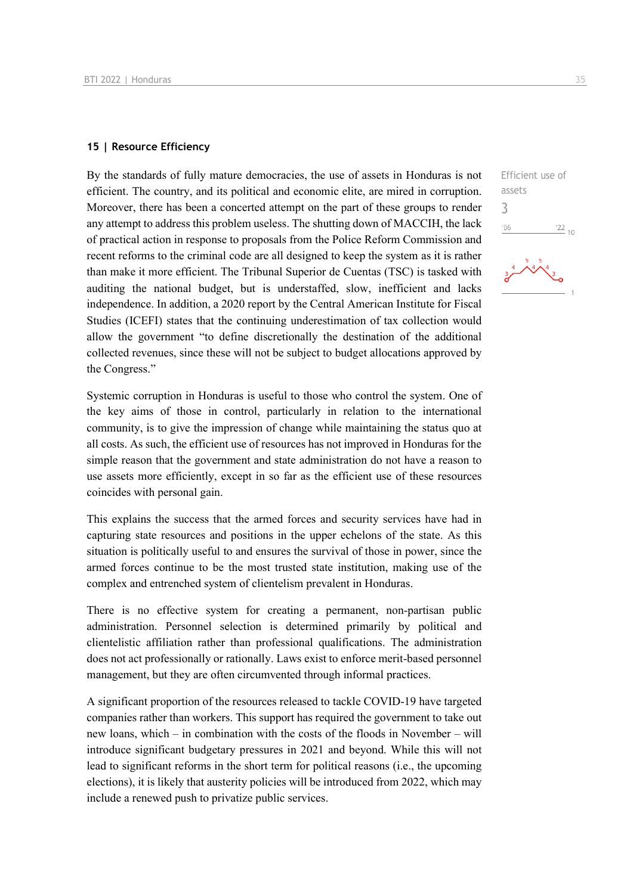#### **15 | Resource Efficiency**

By the standards of fully mature democracies, the use of assets in Honduras is not efficient. The country, and its political and economic elite, are mired in corruption. Moreover, there has been a concerted attempt on the part of these groups to render any attempt to address this problem useless. The shutting down of MACCIH, the lack of practical action in response to proposals from the Police Reform Commission and recent reforms to the criminal code are all designed to keep the system as it is rather than make it more efficient. The Tribunal Superior de Cuentas (TSC) is tasked with auditing the national budget, but is understaffed, slow, inefficient and lacks independence. In addition, a 2020 report by the Central American Institute for Fiscal Studies (ICEFI) states that the continuing underestimation of tax collection would allow the government "to define discretionally the destination of the additional collected revenues, since these will not be subject to budget allocations approved by the Congress."

Systemic corruption in Honduras is useful to those who control the system. One of the key aims of those in control, particularly in relation to the international community, is to give the impression of change while maintaining the status quo at all costs. As such, the efficient use of resources has not improved in Honduras for the simple reason that the government and state administration do not have a reason to use assets more efficiently, except in so far as the efficient use of these resources coincides with personal gain.

This explains the success that the armed forces and security services have had in capturing state resources and positions in the upper echelons of the state. As this situation is politically useful to and ensures the survival of those in power, since the armed forces continue to be the most trusted state institution, making use of the complex and entrenched system of clientelism prevalent in Honduras.

There is no effective system for creating a permanent, non-partisan public administration. Personnel selection is determined primarily by political and clientelistic affiliation rather than professional qualifications. The administration does not act professionally or rationally. Laws exist to enforce merit-based personnel management, but they are often circumvented through informal practices.

A significant proportion of the resources released to tackle COVID-19 have targeted companies rather than workers. This support has required the government to take out new loans, which – in combination with the costs of the floods in November – will introduce significant budgetary pressures in 2021 and beyond. While this will not lead to significant reforms in the short term for political reasons (i.e., the upcoming elections), it is likely that austerity policies will be introduced from 2022, which may include a renewed push to privatize public services.

 $\frac{22}{10}$ 

assets 3 $06'$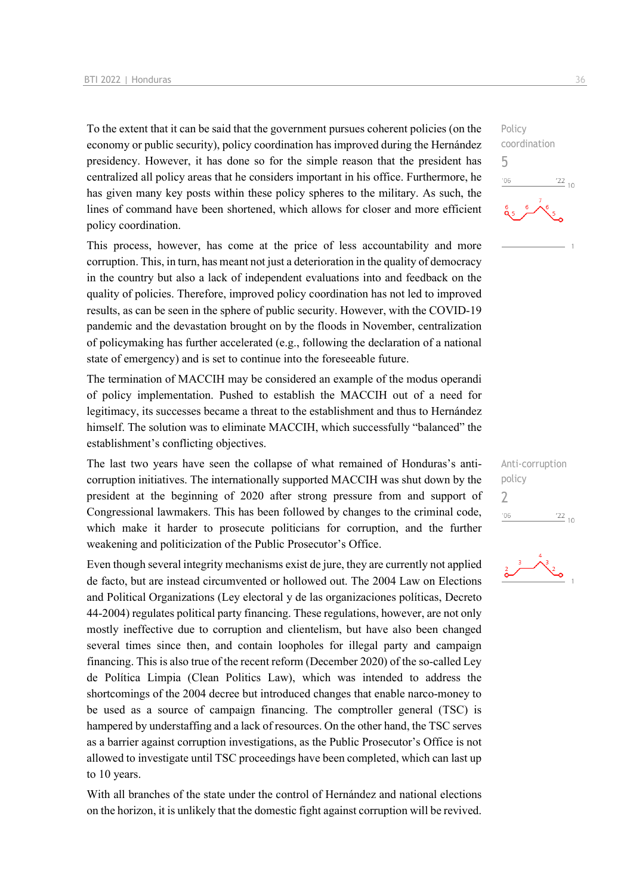To the extent that it can be said that the government pursues coherent policies (on the economy or public security), policy coordination has improved during the Hernández presidency. However, it has done so for the simple reason that the president has centralized all policy areas that he considers important in his office. Furthermore, he has given many key posts within these policy spheres to the military. As such, the lines of command have been shortened, which allows for closer and more efficient policy coordination.

This process, however, has come at the price of less accountability and more corruption. This, in turn, has meant not just a deterioration in the quality of democracy in the country but also a lack of independent evaluations into and feedback on the quality of policies. Therefore, improved policy coordination has not led to improved results, as can be seen in the sphere of public security. However, with the COVID-19 pandemic and the devastation brought on by the floods in November, centralization of policymaking has further accelerated (e.g., following the declaration of a national state of emergency) and is set to continue into the foreseeable future.

The termination of MACCIH may be considered an example of the modus operandi of policy implementation. Pushed to establish the MACCIH out of a need for legitimacy, its successes became a threat to the establishment and thus to Hernández himself. The solution was to eliminate MACCIH, which successfully "balanced" the establishment's conflicting objectives.

The last two years have seen the collapse of what remained of Honduras's anticorruption initiatives. The internationally supported MACCIH was shut down by the president at the beginning of 2020 after strong pressure from and support of Congressional lawmakers. This has been followed by changes to the criminal code, which make it harder to prosecute politicians for corruption, and the further weakening and politicization of the Public Prosecutor's Office.

Even though several integrity mechanisms exist de jure, they are currently not applied de facto, but are instead circumvented or hollowed out. The 2004 Law on Elections and Political Organizations (Ley electoral y de las organizaciones políticas, Decreto 44-2004) regulates political party financing. These regulations, however, are not only mostly ineffective due to corruption and clientelism, but have also been changed several times since then, and contain loopholes for illegal party and campaign financing. This is also true of the recent reform (December 2020) of the so-called Ley de Política Limpia (Clean Politics Law), which was intended to address the shortcomings of the 2004 decree but introduced changes that enable narco-money to be used as a source of campaign financing. The comptroller general (TSC) is hampered by understaffing and a lack of resources. On the other hand, the TSC serves as a barrier against corruption investigations, as the Public Prosecutor's Office is not allowed to investigate until TSC proceedings have been completed, which can last up to 10 years.

With all branches of the state under the control of Hernández and national elections on the horizon, it is unlikely that the domestic fight against corruption will be revived.

Policy coordination 5  $-06$  $\frac{22}{10}$ 



<sup>ج</sup>ے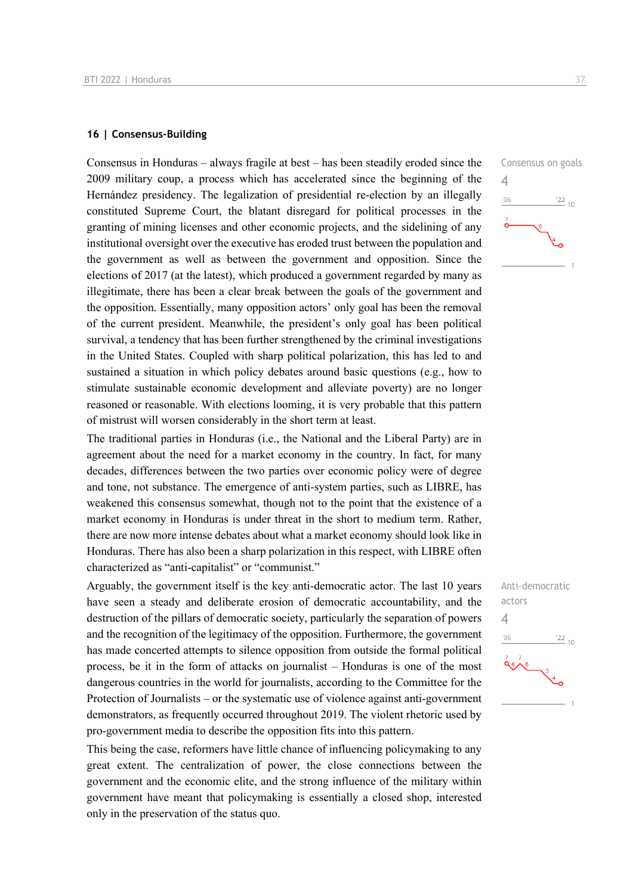#### **16 | Consensus-Building**

Consensus in Honduras – always fragile at best – has been steadily eroded since the 2009 military coup, a process which has accelerated since the beginning of the Hernández presidency. The legalization of presidential re-election by an illegally constituted Supreme Court, the blatant disregard for political processes in the granting of mining licenses and other economic projects, and the sidelining of any institutional oversight over the executive has eroded trust between the population and the government as well as between the government and opposition. Since the elections of 2017 (at the latest), which produced a government regarded by many as illegitimate, there has been a clear break between the goals of the government and the opposition. Essentially, many opposition actors' only goal has been the removal of the current president. Meanwhile, the president's only goal has been political survival, a tendency that has been further strengthened by the criminal investigations in the United States. Coupled with sharp political polarization, this has led to and sustained a situation in which policy debates around basic questions (e.g., how to stimulate sustainable economic development and alleviate poverty) are no longer reasoned or reasonable. With elections looming, it is very probable that this pattern of mistrust will worsen considerably in the short term at least.

The traditional parties in Honduras (i.e., the National and the Liberal Party) are in agreement about the need for a market economy in the country. In fact, for many decades, differences between the two parties over economic policy were of degree and tone, not substance. The emergence of anti-system parties, such as LIBRE, has weakened this consensus somewhat, though not to the point that the existence of a market economy in Honduras is under threat in the short to medium term. Rather, there are now more intense debates about what a market economy should look like in Honduras. There has also been a sharp polarization in this respect, with LIBRE often characterized as "anti-capitalist" or "communist."

Arguably, the government itself is the key anti-democratic actor. The last 10 years have seen a steady and deliberate erosion of democratic accountability, and the destruction of the pillars of democratic society, particularly the separation of powers and the recognition of the legitimacy of the opposition. Furthermore, the government has made concerted attempts to silence opposition from outside the formal political process, be it in the form of attacks on journalist – Honduras is one of the most dangerous countries in the world for journalists, according to the Committee for the Protection of Journalists – or the systematic use of violence against anti-government demonstrators, as frequently occurred throughout 2019. The violent rhetoric used by pro-government media to describe the opposition fits into this pattern.

This being the case, reformers have little chance of influencing policymaking to any great extent. The centralization of power, the close connections between the government and the economic elite, and the strong influence of the military within government have meant that policymaking is essentially a closed shop, interested only in the preservation of the status quo.



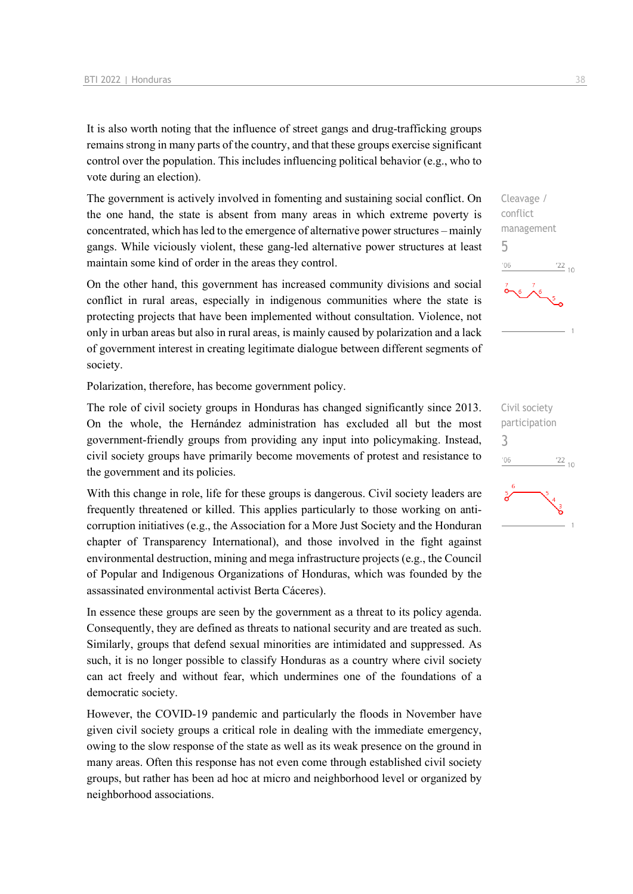It is also worth noting that the influence of street gangs and drug-trafficking groups remains strong in many parts of the country, and that these groups exercise significant control over the population. This includes influencing political behavior (e.g., who to vote during an election).

The government is actively involved in fomenting and sustaining social conflict. On the one hand, the state is absent from many areas in which extreme poverty is concentrated, which has led to the emergence of alternative power structures – mainly gangs. While viciously violent, these gang-led alternative power structures at least maintain some kind of order in the areas they control.

On the other hand, this government has increased community divisions and social conflict in rural areas, especially in indigenous communities where the state is protecting projects that have been implemented without consultation. Violence, not only in urban areas but also in rural areas, is mainly caused by polarization and a lack of government interest in creating legitimate dialogue between different segments of society.

Polarization, therefore, has become government policy.

The role of civil society groups in Honduras has changed significantly since 2013. On the whole, the Hernández administration has excluded all but the most government-friendly groups from providing any input into policymaking. Instead, civil society groups have primarily become movements of protest and resistance to the government and its policies.

With this change in role, life for these groups is dangerous. Civil society leaders are frequently threatened or killed. This applies particularly to those working on anticorruption initiatives (e.g., the Association for a More Just Society and the Honduran chapter of Transparency International), and those involved in the fight against environmental destruction, mining and mega infrastructure projects (e.g., the Council of Popular and Indigenous Organizations of Honduras, which was founded by the assassinated environmental activist Berta Cáceres).

In essence these groups are seen by the government as a threat to its policy agenda. Consequently, they are defined as threats to national security and are treated as such. Similarly, groups that defend sexual minorities are intimidated and suppressed. As such, it is no longer possible to classify Honduras as a country where civil society can act freely and without fear, which undermines one of the foundations of a democratic society.

However, the COVID-19 pandemic and particularly the floods in November have given civil society groups a critical role in dealing with the immediate emergency, owing to the slow response of the state as well as its weak presence on the ground in many areas. Often this response has not even come through established civil society groups, but rather has been ad hoc at micro and neighborhood level or organized by neighborhood associations.



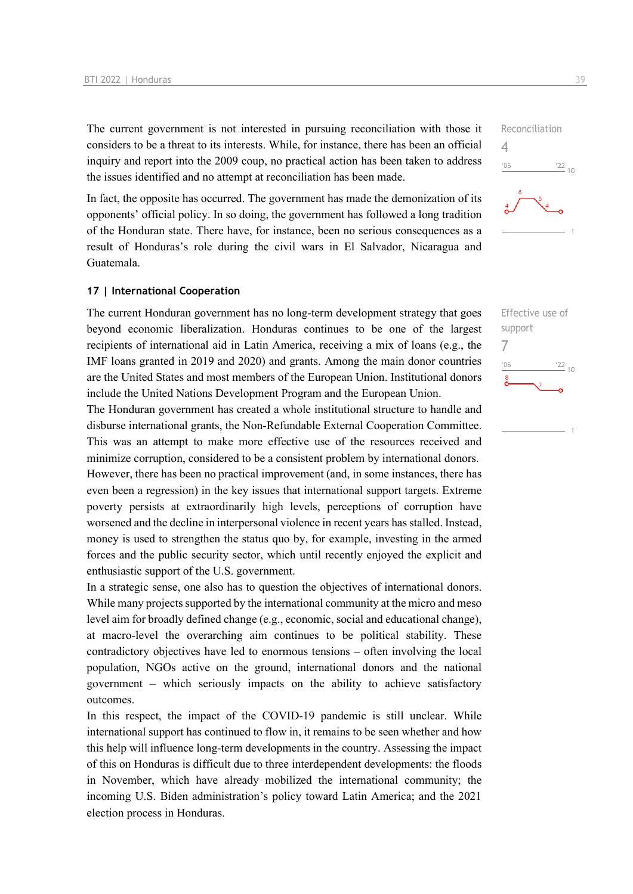The current government is not interested in pursuing reconciliation with those it considers to be a threat to its interests. While, for instance, there has been an official inquiry and report into the 2009 coup, no practical action has been taken to address the issues identified and no attempt at reconciliation has been made.

In fact, the opposite has occurred. The government has made the demonization of its opponents' official policy. In so doing, the government has followed a long tradition of the Honduran state. There have, for instance, been no serious consequences as a result of Honduras's role during the civil wars in El Salvador, Nicaragua and Guatemala.

#### **17 | International Cooperation**

The current Honduran government has no long-term development strategy that goes beyond economic liberalization. Honduras continues to be one of the largest recipients of international aid in Latin America, receiving a mix of loans (e.g., the IMF loans granted in 2019 and 2020) and grants. Among the main donor countries are the United States and most members of the European Union. Institutional donors include the United Nations Development Program and the European Union.

The Honduran government has created a whole institutional structure to handle and disburse international grants, the Non-Refundable External Cooperation Committee. This was an attempt to make more effective use of the resources received and minimize corruption, considered to be a consistent problem by international donors. However, there has been no practical improvement (and, in some instances, there has even been a regression) in the key issues that international support targets. Extreme poverty persists at extraordinarily high levels, perceptions of corruption have worsened and the decline in interpersonal violence in recent years has stalled. Instead, money is used to strengthen the status quo by, for example, investing in the armed forces and the public security sector, which until recently enjoyed the explicit and enthusiastic support of the U.S. government.

In a strategic sense, one also has to question the objectives of international donors. While many projects supported by the international community at the micro and meso level aim for broadly defined change (e.g., economic, social and educational change), at macro-level the overarching aim continues to be political stability. These contradictory objectives have led to enormous tensions – often involving the local population, NGOs active on the ground, international donors and the national government – which seriously impacts on the ability to achieve satisfactory outcomes.

In this respect, the impact of the COVID-19 pandemic is still unclear. While international support has continued to flow in, it remains to be seen whether and how this help will influence long-term developments in the country. Assessing the impact of this on Honduras is difficult due to three interdependent developments: the floods in November, which have already mobilized the international community; the incoming U.S. Biden administration's policy toward Latin America; and the 2021 election process in Honduras.



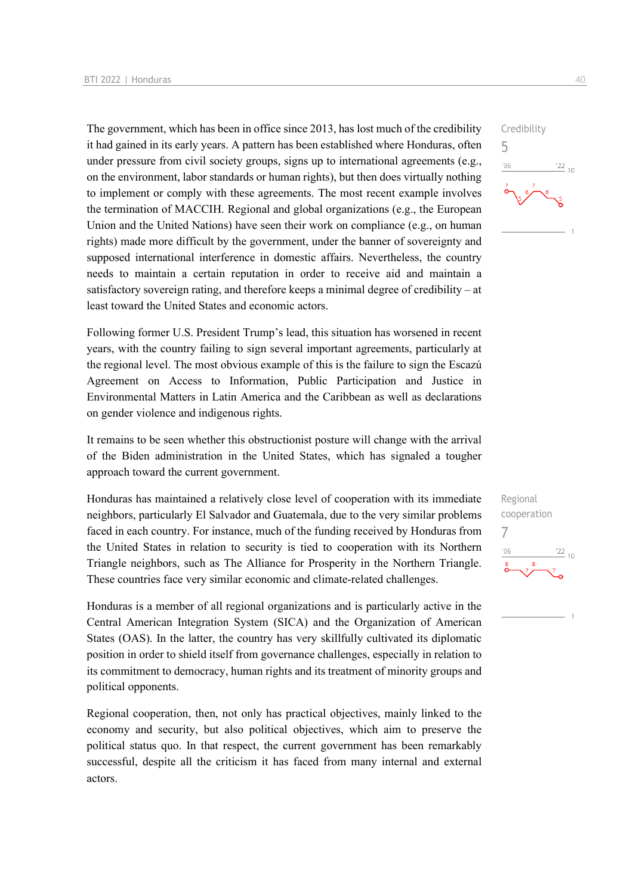The government, which has been in office since 2013, has lost much of the credibility it had gained in its early years. A pattern has been established where Honduras, often under pressure from civil society groups, signs up to international agreements (e.g., on the environment, labor standards or human rights), but then does virtually nothing to implement or comply with these agreements. The most recent example involves the termination of MACCIH. Regional and global organizations (e.g., the European Union and the United Nations) have seen their work on compliance (e.g., on human rights) made more difficult by the government, under the banner of sovereignty and supposed international interference in domestic affairs. Nevertheless, the country needs to maintain a certain reputation in order to receive aid and maintain a satisfactory sovereign rating, and therefore keeps a minimal degree of credibility – at least toward the United States and economic actors.

Following former U.S. President Trump's lead, this situation has worsened in recent years, with the country failing to sign several important agreements, particularly at the regional level. The most obvious example of this is the failure to sign the Escazú Agreement on Access to Information, Public Participation and Justice in Environmental Matters in Latin America and the Caribbean as well as declarations on gender violence and indigenous rights.

It remains to be seen whether this obstructionist posture will change with the arrival of the Biden administration in the United States, which has signaled a tougher approach toward the current government.

Honduras has maintained a relatively close level of cooperation with its immediate neighbors, particularly El Salvador and Guatemala, due to the very similar problems faced in each country. For instance, much of the funding received by Honduras from the United States in relation to security is tied to cooperation with its Northern Triangle neighbors, such as The Alliance for Prosperity in the Northern Triangle. These countries face very similar economic and climate-related challenges.

Honduras is a member of all regional organizations and is particularly active in the Central American Integration System (SICA) and the Organization of American States (OAS). In the latter, the country has very skillfully cultivated its diplomatic position in order to shield itself from governance challenges, especially in relation to its commitment to democracy, human rights and its treatment of minority groups and political opponents.

Regional cooperation, then, not only has practical objectives, mainly linked to the economy and security, but also political objectives, which aim to preserve the political status quo. In that respect, the current government has been remarkably successful, despite all the criticism it has faced from many internal and external actors.



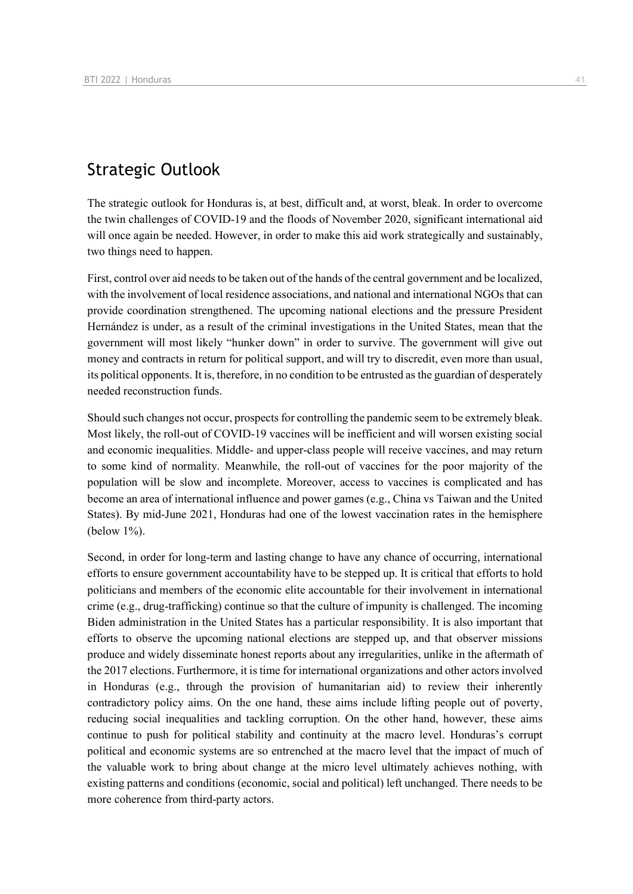## Strategic Outlook

The strategic outlook for Honduras is, at best, difficult and, at worst, bleak. In order to overcome the twin challenges of COVID-19 and the floods of November 2020, significant international aid will once again be needed. However, in order to make this aid work strategically and sustainably, two things need to happen.

First, control over aid needs to be taken out of the hands of the central government and be localized, with the involvement of local residence associations, and national and international NGOs that can provide coordination strengthened. The upcoming national elections and the pressure President Hernández is under, as a result of the criminal investigations in the United States, mean that the government will most likely "hunker down" in order to survive. The government will give out money and contracts in return for political support, and will try to discredit, even more than usual, its political opponents. It is, therefore, in no condition to be entrusted as the guardian of desperately needed reconstruction funds.

Should such changes not occur, prospects for controlling the pandemic seem to be extremely bleak. Most likely, the roll-out of COVID-19 vaccines will be inefficient and will worsen existing social and economic inequalities. Middle- and upper-class people will receive vaccines, and may return to some kind of normality. Meanwhile, the roll-out of vaccines for the poor majority of the population will be slow and incomplete. Moreover, access to vaccines is complicated and has become an area of international influence and power games (e.g., China vs Taiwan and the United States). By mid-June 2021, Honduras had one of the lowest vaccination rates in the hemisphere (below 1%).

Second, in order for long-term and lasting change to have any chance of occurring, international efforts to ensure government accountability have to be stepped up. It is critical that efforts to hold politicians and members of the economic elite accountable for their involvement in international crime (e.g., drug-trafficking) continue so that the culture of impunity is challenged. The incoming Biden administration in the United States has a particular responsibility. It is also important that efforts to observe the upcoming national elections are stepped up, and that observer missions produce and widely disseminate honest reports about any irregularities, unlike in the aftermath of the 2017 elections. Furthermore, it is time for international organizations and other actors involved in Honduras (e.g., through the provision of humanitarian aid) to review their inherently contradictory policy aims. On the one hand, these aims include lifting people out of poverty, reducing social inequalities and tackling corruption. On the other hand, however, these aims continue to push for political stability and continuity at the macro level. Honduras's corrupt political and economic systems are so entrenched at the macro level that the impact of much of the valuable work to bring about change at the micro level ultimately achieves nothing, with existing patterns and conditions (economic, social and political) left unchanged. There needs to be more coherence from third-party actors.